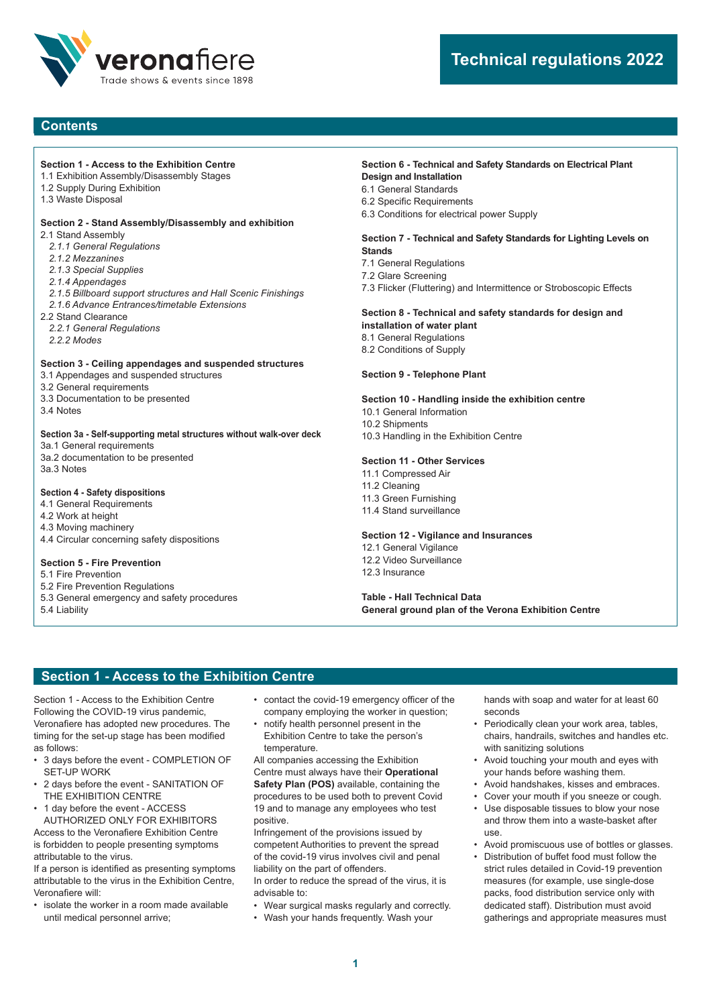

## **Contents**

#### **Section 1 - Access to the Exhibition Centre**

- 1.1 Exhibition Assembly/Disassembly Stages
- 1.2 Supply During Exhibition
- 1.3 Waste Disposal

## **Section 2 - Stand Assembly/Disassembly and exhibition**

- 2.1 Stand Assembly
	- *2.1.1 General Regulations*
	- *2.1.2 Mezzanines*
	- *2.1.3 Special Supplies*
	- *2.1.4 Appendages*
- *2.1.5 Billboard support structures and Hall Scenic Finishings*
- *2.1.6 Advance Entrances/timetable Extensions*
- 2.2 Stand Clearance
- *2.2.1 General Regulations 2.2.2 Modes*

#### **Section 3 - Ceiling appendages and suspended structures**

- 3.1 Appendages and suspended structures
- 3.2 General requirements
- 3.3 Documentation to be presented
- 3.4 Notes

### **Section 3a - Self-supporting metal structures without walk-over deck**

3a.1 General requirements 3a.2 documentation to be presented 3a.3 Notes

### **Section 4 - Safety dispositions**

4.1 General Requirements

- 4.2 Work at height
- 4.3 Moving machinery 4.4 Circular concerning safety dispositions

#### **Section 5 - Fire Prevention**

- 5.1 Fire Prevention
- 5.2 Fire Prevention Regulations
- 5.3 General emergency and safety procedures 5.4 Liability

## **Section 6 - Technical and Safety Standards on Electrical Plant**

- **Design and Installation** 6.1 General Standards
- 6.2 Specific Requirements
- 6.3 Conditions for electrical power Supply

#### **Section 7 - Technical and Safety Standards for Lighting Levels on Stands**

- 7.1 General Regulations
- 7.2 Glare Screening
- 7.3 Flicker (Fluttering) and Intermittence or Stroboscopic Effects

#### **Section 8 - Technical and safety standards for design and installation of water plant**

- 8.1 General Regulations
- 8.2 Conditions of Supply
- 

### **Section 9 - Telephone Plant**

#### **Section 10 - Handling inside the exhibition centre**

- 10.1 General Information
- 10.2 Shipments
- 10.3 Handling in the Exhibition Centre

#### **Section 11 - Other Services**

- 11.1 Compressed Air 11.2 Cleaning
- 11.3 Green Furnishing 11.4 Stand surveillance

#### **Section 12 - Vigilance and Insurances**

12.1 General Vigilance 12.2 Video Surveillance 12.3 Insurance

#### **Table - Hall Technical Data General ground plan of the Verona Exhibition Centre**

## **Section 1 - Access to the Exhibition Centre**

Section 1 - Access to the Exhibition Centre Following the COVID-19 virus pandemic, Veronafiere has adopted new procedures. The timing for the set-up stage has been modified as follows:

- 3 days before the event COMPLETION OF SET-UP WORK
- 2 days before the event SANITATION OF THE EXHIBITION CENTRE
- 1 day before the event ACCESS AUTHORIZED ONLY FOR EXHIBITORS

Access to the Veronafiere Exhibition Centre is forbidden to people presenting symptoms

attributable to the virus. If a person is identified as presenting symptoms

attributable to the virus in the Exhibition Centre, Veronafiere will:

• isolate the worker in a room made available until medical personnel arrive;

- contact the covid-19 emergency officer of the company employing the worker in question;
- notify health personnel present in the Exhibition Centre to take the person's temperature.

All companies accessing the Exhibition Centre must always have their **Operational Safety Plan (POS)** available, containing the procedures to be used both to prevent Covid 19 and to manage any employees who test positive.

Infringement of the provisions issued by competent Authorities to prevent the spread of the covid-19 virus involves civil and penal liability on the part of offenders.

In order to reduce the spread of the virus, it is advisable to:

- Wear surgical masks regularly and correctly.
- Wash your hands frequently. Wash your

hands with soap and water for at least 60 seconds

- Periodically clean your work area, tables, chairs, handrails, switches and handles etc. with sanitizing solutions
- Avoid touching your mouth and eyes with your hands before washing them.
- Avoid handshakes, kisses and embraces.
- Cover your mouth if you sneeze or cough.
	- Use disposable tissues to blow your nose and throw them into a waste-basket after use.
	- Avoid promiscuous use of bottles or glasses.
	- Distribution of buffet food must follow the strict rules detailed in Covid-19 prevention measures (for example, use single-dose packs, food distribution service only with dedicated staff). Distribution must avoid gatherings and appropriate measures must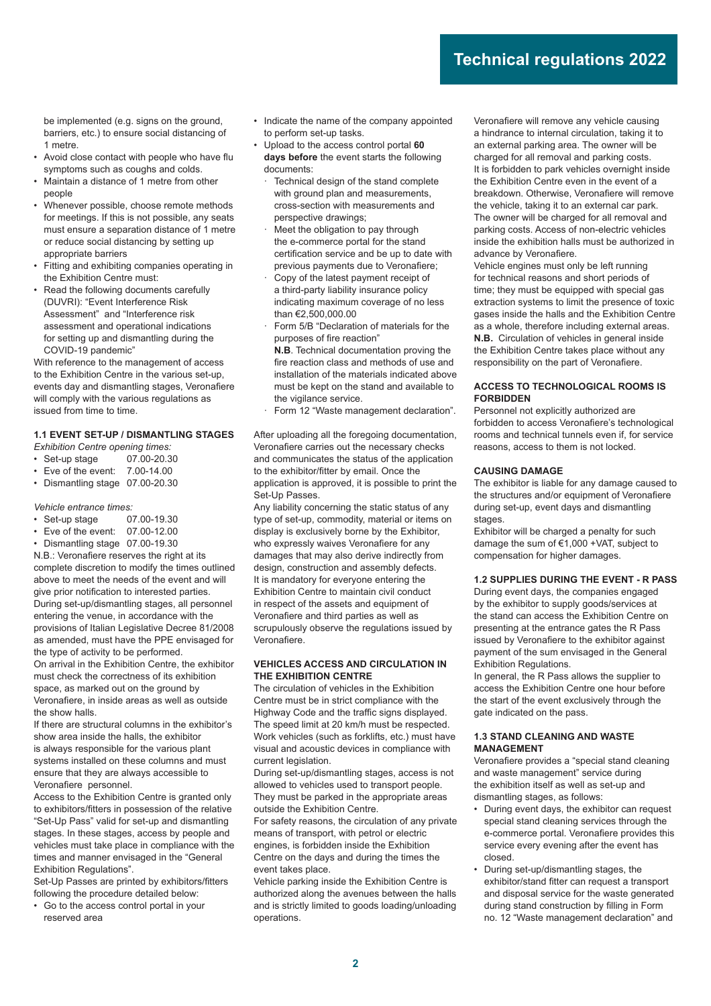be implemented (e.g. signs on the ground, barriers, etc.) to ensure social distancing of 1 metre.

- Avoid close contact with people who have flu symptoms such as coughs and colds.
- Maintain a distance of 1 metre from other people
- Whenever possible, choose remote methods for meetings. If this is not possible, any seats must ensure a separation distance of 1 metre or reduce social distancing by setting up appropriate barriers
- Fitting and exhibiting companies operating in the Exhibition Centre must:
- Read the following documents carefully (DUVRI): "Event Interference Risk Assessment" and "Interference risk assessment and operational indications for setting up and dismantling during the COVID-19 pandemic"

With reference to the management of access to the Exhibition Centre in the various set-up, events day and dismantling stages, Veronafiere will comply with the various regulations as issued from time to time.

#### **1.1 EVENT SET-UP / DISMANTLING STAGES**

- *Exhibition Centre opening times:*
- Set-up stage 07.00-20.30
- Eve of the event: 7.00-14.00 • Dismantling stage 07.00-20.30
- 

#### *Vehicle entrance times:*

- Set-up stage 07.00-19.30<br>• Eve of the event: 07.00-12.00
- $\cdot$  Eve of the event:
- Dismantling stage 07.00-19.30

N.B.: Veronafiere reserves the right at its complete discretion to modify the times outlined above to meet the needs of the event and will give prior notification to interested parties. During set-up/dismantling stages, all personnel entering the venue, in accordance with the provisions of Italian Legislative Decree 81/2008 as amended, must have the PPE envisaged for the type of activity to be performed.

On arrival in the Exhibition Centre, the exhibitor must check the correctness of its exhibition space, as marked out on the ground by Veronafiere, in inside areas as well as outside the show halls.

If there are structural columns in the exhibitor's show area inside the halls, the exhibitor is always responsible for the various plant systems installed on these columns and must ensure that they are always accessible to Veronafiere personnel.

Access to the Exhibition Centre is granted only to exhibitors/fitters in possession of the relative "Set-Up Pass" valid for set-up and dismantling stages. In these stages, access by people and vehicles must take place in compliance with the times and manner envisaged in the "General Exhibition Regulations".

Set-Up Passes are printed by exhibitors/fitters following the procedure detailed below:

• Go to the access control portal in your reserved area

- Indicate the name of the company appointed to perform set-up tasks.
- Upload to the access control portal **60 days before** the event starts the following documents:
	- Technical design of the stand complete with ground plan and measurements, cross-section with measurements and perspective drawings;
	- Meet the obligation to pay through the e-commerce portal for the stand certification service and be up to date with previous payments due to Veronafiere:
	- · Copy of the latest payment receipt of a third-party liability insurance policy indicating maximum coverage of no less than €2,500,000.00
	- Form 5/B "Declaration of materials for the purposes of fire reaction"

**N.B**. Technical documentation proving the fire reaction class and methods of use and installation of the materials indicated above must be kept on the stand and available to the vigilance service.

Form 12 "Waste management declaration".

After uploading all the foregoing documentation, Veronafiere carries out the necessary checks and communicates the status of the application to the exhibitor/fitter by email. Once the application is approved, it is possible to print the Set-Up Passes.

Any liability concerning the static status of any type of set-up, commodity, material or items on display is exclusively borne by the Exhibitor, who expressly waives Veronafiere for any damages that may also derive indirectly from design, construction and assembly defects. It is mandatory for everyone entering the Exhibition Centre to maintain civil conduct in respect of the assets and equipment of Veronafiere and third parties as well as scrupulously observe the regulations issued by Veronafiere.

#### **VEHICLES ACCESS AND CIRCULATION IN THE EXHIBITION CENTRE**

The circulation of vehicles in the Exhibition Centre must be in strict compliance with the Highway Code and the traffic signs displayed. The speed limit at 20 km/h must be respected. Work vehicles (such as forklifts, etc.) must have visual and acoustic devices in compliance with current legislation.

During set-up/dismantling stages, access is not allowed to vehicles used to transport people. They must be parked in the appropriate areas outside the Exhibition Centre.

For safety reasons, the circulation of any private means of transport, with petrol or electric engines, is forbidden inside the Exhibition Centre on the days and during the times the event takes place.

Vehicle parking inside the Exhibition Centre is authorized along the avenues between the halls and is strictly limited to goods loading/unloading operations.

Veronafiere will remove any vehicle causing a hindrance to internal circulation, taking it to an external parking area. The owner will be charged for all removal and parking costs. It is forbidden to park vehicles overnight inside the Exhibition Centre even in the event of a breakdown. Otherwise, Veronafiere will remove the vehicle, taking it to an external car park. The owner will be charged for all removal and parking costs. Access of non-electric vehicles inside the exhibition halls must be authorized in advance by Veronafiere.

Vehicle engines must only be left running for technical reasons and short periods of time: they must be equipped with special gas extraction systems to limit the presence of toxic gases inside the halls and the Exhibition Centre as a whole, therefore including external areas. **N.B.** Circulation of vehicles in general inside the Exhibition Centre takes place without any responsibility on the part of Veronafiere.

#### **ACCESS TO TECHNOLOGICAL ROOMS IS FORBIDDEN**

Personnel not explicitly authorized are forbidden to access Veronafiere's technological rooms and technical tunnels even if, for service reasons, access to them is not locked.

#### **CAUSING DAMAGE**

The exhibitor is liable for any damage caused to the structures and/or equipment of Veronafiere during set-up, event days and dismantling stages.

Exhibitor will be charged a penalty for such damage the sum of €1,000 +VAT, subject to compensation for higher damages.

#### **1.2 SUPPLIES DURING THE EVENT - R PASS**

During event days, the companies engaged by the exhibitor to supply goods/services at the stand can access the Exhibition Centre on presenting at the entrance gates the R Pass issued by Veronafiere to the exhibitor against payment of the sum envisaged in the General Exhibition Regulations.

In general, the R Pass allows the supplier to access the Exhibition Centre one hour before the start of the event exclusively through the gate indicated on the pass.

#### **1.3 STAND CLEANING AND WASTE MANAGEMENT**

Veronafiere provides a "special stand cleaning and waste management" service during the exhibition itself as well as set-up and dismantling stages, as follows:

- During event days, the exhibitor can request special stand cleaning services through the e-commerce portal. Veronafiere provides this service every evening after the event has closed.
- During set-up/dismantling stages, the exhibitor/stand fitter can request a transport and disposal service for the waste generated during stand construction by filling in Form no. 12 "Waste management declaration" and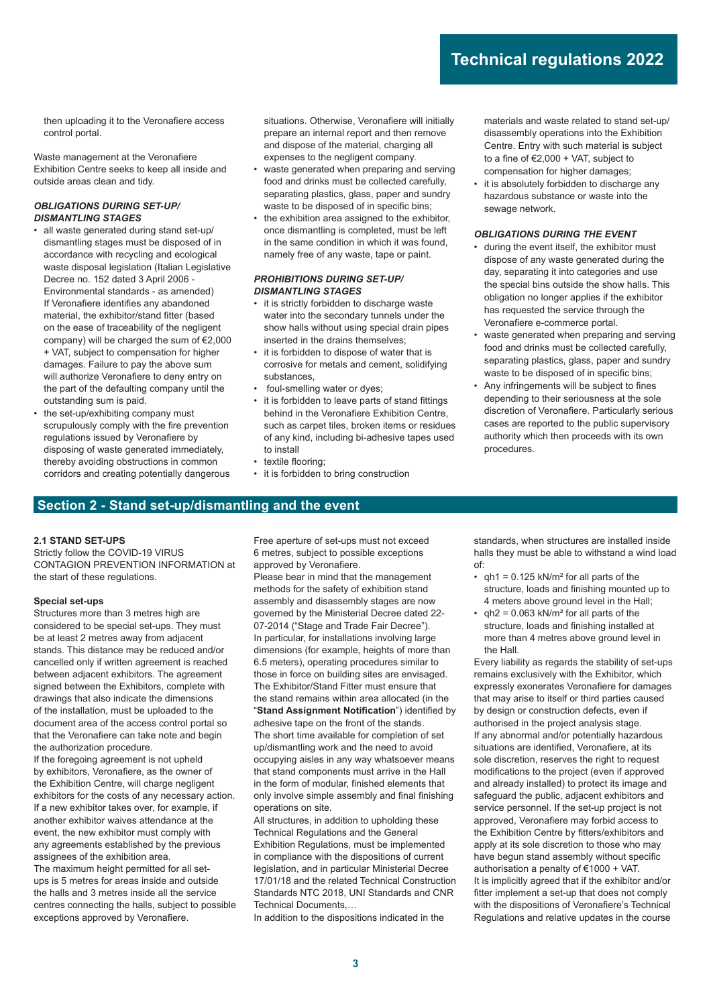then uploading it to the Veronafiere access control portal.

Waste management at the Veronafiere Exhibition Centre seeks to keep all inside and outside areas clean and tidy.

#### *OBLIGATIONS DURING SET-UP/ DISMANTLING STAGES*

- all waste generated during stand set-up/ dismantling stages must be disposed of in accordance with recycling and ecological waste disposal legislation (Italian Legislative Decree no. 152 dated 3 April 2006 - Environmental standards - as amended) If Veronafiere identifies any abandoned material, the exhibitor/stand fitter (based on the ease of traceability of the negligent company) will be charged the sum of €2,000 + VAT, subject to compensation for higher damages. Failure to pay the above sum will authorize Veronafiere to deny entry on the part of the defaulting company until the outstanding sum is paid.
- the set-up/exhibiting company must scrupulously comply with the fire prevention regulations issued by Veronafiere by disposing of waste generated immediately, thereby avoiding obstructions in common corridors and creating potentially dangerous

situations. Otherwise, Veronafiere will initially prepare an internal report and then remove and dispose of the material, charging all expenses to the negligent company.

- waste generated when preparing and serving food and drinks must be collected carefully, separating plastics, glass, paper and sundry waste to be disposed of in specific bins;
- the exhibition area assigned to the exhibitor. once dismantling is completed, must be left in the same condition in which it was found, namely free of any waste, tape or paint.

#### *PROHIBITIONS DURING SET-UP/ DISMANTLING STAGES*

- it is strictly forbidden to discharge waste water into the secondary tunnels under the show halls without using special drain pipes inserted in the drains themselves;
- it is forbidden to dispose of water that is corrosive for metals and cement, solidifying substances,
- foul-smelling water or dyes;
- it is forbidden to leave parts of stand fittings behind in the Veronafiere Exhibition Centre, such as carpet tiles, broken items or residues of any kind, including bi-adhesive tapes used to install
- textile flooring:
- it is forbidden to bring construction

materials and waste related to stand set-up/ disassembly operations into the Exhibition Centre. Entry with such material is subject to a fine of  $E2,000 + \text{VAT}$ , subject to compensation for higher damages;

it is absolutely forbidden to discharge any hazardous substance or waste into the sewage network.

#### *OBLIGATIONS DURING THE EVENT*

- during the event itself, the exhibitor must dispose of any waste generated during the day, separating it into categories and use the special bins outside the show halls. This obligation no longer applies if the exhibitor has requested the service through the Veronafiere e-commerce portal.
- waste generated when preparing and serving food and drinks must be collected carefully, separating plastics, glass, paper and sundry waste to be disposed of in specific bins:
- Any infringements will be subject to fines depending to their seriousness at the sole discretion of Veronafiere. Particularly serious cases are reported to the public supervisory authority which then proceeds with its own procedures.

## **Section 2 - Stand set-up/dismantling and the event**

#### **2.1 STAND SET-UPS**

Strictly follow the COVID-19 VIRUS CONTAGION PREVENTION INFORMATION at the start of these regulations.

### **Special set-ups**

Structures more than 3 metres high are considered to be special set-ups. They must be at least 2 metres away from adjacent stands. This distance may be reduced and/or cancelled only if written agreement is reached between adjacent exhibitors. The agreement signed between the Exhibitors, complete with drawings that also indicate the dimensions of the installation, must be uploaded to the document area of the access control portal so that the Veronafiere can take note and begin the authorization procedure.

If the foregoing agreement is not upheld by exhibitors, Veronafiere, as the owner of the Exhibition Centre, will charge negligent exhibitors for the costs of any necessary action. If a new exhibitor takes over, for example, if another exhibitor waives attendance at the event, the new exhibitor must comply with any agreements established by the previous assignees of the exhibition area. The maximum height permitted for all set-

ups is 5 metres for areas inside and outside the halls and 3 metres inside all the service centres connecting the halls, subject to possible exceptions approved by Veronafiere.

Free aperture of set-ups must not exceed 6 metres, subject to possible exceptions approved by Veronafiere.

Please bear in mind that the management methods for the safety of exhibition stand assembly and disassembly stages are now governed by the Ministerial Decree dated 22- 07-2014 ("Stage and Trade Fair Decree"). In particular, for installations involving large dimensions (for example, heights of more than 6.5 meters), operating procedures similar to those in force on building sites are envisaged. The Exhibitor/Stand Fitter must ensure that the stand remains within area allocated (in the "Stand Assignment Notification") identified by adhesive tape on the front of the stands. The short time available for completion of set up/dismantling work and the need to avoid occupying aisles in any way whatsoever means that stand components must arrive in the Hall in the form of modular, finished elements that only involve simple assembly and final finishing operations on site.

All structures, in addition to upholding these Technical Regulations and the General Exhibition Regulations, must be implemented in compliance with the dispositions of current legislation, and in particular Ministerial Decree 17/01/18 and the related Technical Construction Standards NTC 2018, UNI Standards and CNR Technical Documents,…

In addition to the dispositions indicated in the

standards, when structures are installed inside halls they must be able to withstand a wind load of:

- $qh1 = 0.125$  kN/m<sup>2</sup> for all parts of the structure, loads and finishing mounted up to 4 meters above ground level in the Hall;
- $qh2 = 0.063$  kN/m<sup>2</sup> for all parts of the structure, loads and finishing installed at more than 4 metres above ground level in the Hall.

Every liability as regards the stability of set-ups remains exclusively with the Exhibitor, which expressly exonerates Veronafiere for damages that may arise to itself or third parties caused by design or construction defects, even if authorised in the project analysis stage. If any abnormal and/or potentially hazardous situations are identified, Veronafiere, at its sole discretion, reserves the right to request modifications to the project (even if approved and already installed) to protect its image and safeguard the public, adjacent exhibitors and service personnel. If the set-up project is not approved, Veronafiere may forbid access to the Exhibition Centre by fitters/exhibitors and apply at its sole discretion to those who may have begun stand assembly without specific authorisation a penalty of €1000 + VAT. It is implicitly agreed that if the exhibitor and/or fitter implement a set-up that does not comply with the dispositions of Veronafiere's Technical Regulations and relative updates in the course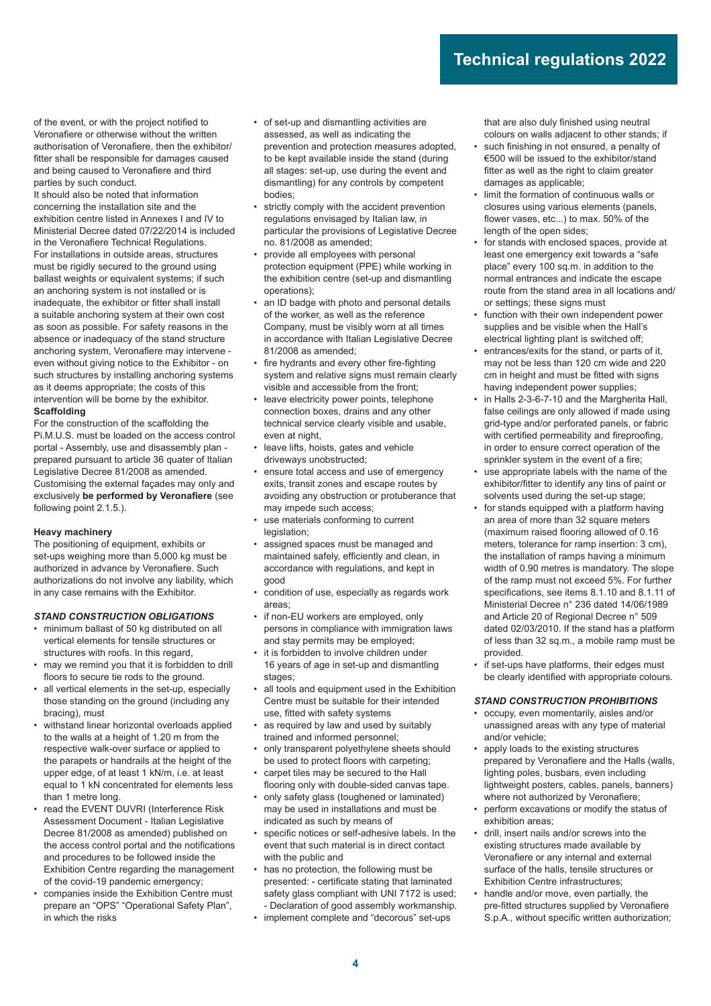of the event, or with the project notified to Veronafiere or otherwise without the written authorisation of Veronafiere, then the exhibitor/ fitter shall be responsible for damages caused and being caused to Veronafiere and third parties by such conduct.

It should also be noted that information concerning the installation site and the exhibition centre listed in Annexes I and IV to Ministerial Decree dated 07/22/2014 is included in the Veronafiere Technical Regulations. For installations in outside areas, structures must be rigidly secured to the ground using ballast weights or equivalent systems; if such an anchoring system is not installed or is inadequate, the exhibitor or fitter shall install a suitable anchoring system at their own cost as soon as possible. For safety reasons in the absence or inadequacy of the stand structure anchoring system, Veronafiere may intervene even without giving notice to the Exhibitor - on such structures by installing anchoring systems as it deems appropriate; the costs of this intervention will be borne by the exhibitor. **Scaffolding**

For the construction of the scaffolding the Pi.M.U.S. must be loaded on the access control portal - Assembly, use and disassembly plan prepared pursuant to article 36 quater of Italian Legislative Decree 81/2008 as amended. Customising the external façades may only and exclusively be performed by Veronafiere (see following point 2.1.5.).

#### **Heavy machinery**

The positioning of equipment, exhibits or set-ups weighing more than 5,000 kg must be authorized in advance by Veronafiere. Such authorizations do not involve any liability, which in any case remains with the Exhibitor.

#### *STAND CONSTRUCTION OBLIGATIONS*

- minimum ballast of 50 kg distributed on all vertical elements for tensile structures or structures with roofs. In this regard,
- may we remind you that it is forbidden to drill floors to secure tie rods to the ground.
- all vertical elements in the set-up, especially those standing on the ground (including any bracing), must
- withstand linear horizontal overloads applied to the walls at a height of 1.20 m from the respective walk-over surface or applied to the parapets or handrails at the height of the upper edge, of at least 1 kN/m, i.e. at least equal to 1 kN concentrated for elements less than 1 metre long.
- read the EVENT DUVRI (Interference Risk Assessment Document - Italian Legislative Decree 81/2008 as amended) published on the access control portal and the notifications and procedures to be followed inside the Exhibition Centre regarding the management of the covid-19 pandemic emergency;
- companies inside the Exhibition Centre must prepare an "OPS" "Operational Safety Plan", in which the risks
- of set-up and dismantling activities are assessed, as well as indicating the prevention and protection measures adopted, to be kept available inside the stand (during all stages: set-up, use during the event and dismantling) for any controls by competent bodies;
- strictly comply with the accident prevention regulations envisaged by Italian law, in particular the provisions of Legislative Decree no. 81/2008 as amended;
- provide all employees with personal protection equipment (PPE) while working in the exhibition centre (set-up and dismantling operations);
- an ID badge with photo and personal details of the worker, as well as the reference Company, must be visibly worn at all times in accordance with Italian Legislative Decree 81/2008 as amended;
- fire hydrants and every other fire-fighting system and relative signs must remain clearly visible and accessible from the front;
- leave electricity power points, telephone connection boxes, drains and any other technical service clearly visible and usable, even at night,
- leave lifts, hoists, gates and vehicle driveways unobstructed;
- ensure total access and use of emergency exits, transit zones and escape routes by avoiding any obstruction or protuberance that may impede such access;
- use materials conforming to current legislation;
- assigned spaces must be managed and maintained safely, efficiently and clean, in accordance with regulations, and kept in good
- condition of use, especially as regards work areas;
- if non-EU workers are employed, only persons in compliance with immigration laws and stay permits may be employed;
- it is forbidden to involve children under 16 years of age in set-up and dismantling stages;
- all tools and equipment used in the Exhibition Centre must be suitable for their intended use, fitted with safety systems
- as required by law and used by suitably trained and informed personnel;
- only transparent polyethylene sheets should be used to protect floors with carpeting;
- carpet tiles may be secured to the Hall flooring only with double-sided canvas tape.
- only safety glass (toughened or laminated) may be used in installations and must be indicated as such by means of
- specific notices or self-adhesive labels. In the event that such material is in direct contact with the public and
- has no protection, the following must be presented: - certificate stating that laminated safety glass compliant with UNI 7172 is used; - Declaration of good assembly workmanship.
- implement complete and "decorous" set-ups

that are also duly finished using neutral colours on walls adjacent to other stands; if

- such finishing in not ensured, a penalty of €500 will be issued to the exhibitor/stand fitter as well as the right to claim greater damages as applicable;
- limit the formation of continuous walls or closures using various elements (panels, flower vases, etc...) to max. 50% of the length of the open sides;
- for stands with enclosed spaces, provide at least one emergency exit towards a "safe place" every 100 sq.m. in addition to the normal entrances and indicate the escape route from the stand area in all locations and/ or settings; these signs must
- function with their own independent power supplies and be visible when the Hall's electrical lighting plant is switched off;
- entrances/exits for the stand, or parts of it, may not be less than 120 cm wide and 220 cm in height and must be fitted with signs having independent power supplies;
- in Halls 2-3-6-7-10 and the Margherita Hall, false ceilings are only allowed if made using grid-type and/or perforated panels, or fabric with certified permeability and fireproofing, in order to ensure correct operation of the sprinkler system in the event of a fire;
- use appropriate labels with the name of the exhibitor/fitter to identify any tins of paint or solvents used during the set-up stage;
- for stands equipped with a platform having an area of more than 32 square meters (maximum raised flooring allowed of 0.16 meters, tolerance for ramp insertion: 3 cm), the installation of ramps having a minimum width of 0.90 metres is mandatory. The slope of the ramp must not exceed 5%. For further specifications, see items 8.1.10 and 8.1.11 of Ministerial Decree n° 236 dated 14/06/1989 and Article 20 of Regional Decree n° 509 dated 02/03/2010. If the stand has a platform of less than 32 sq.m., a mobile ramp must be provided.
- if set-ups have platforms, their edges must be clearly identified with appropriate colours.

#### *STAND CONSTRUCTION PROHIBITIONS*

- occupy, even momentarily, aisles and/or unassigned areas with any type of material and/or vehicle;
- apply loads to the existing structures prepared by Veronafiere and the Halls (walls, lighting poles, busbars, even including lightweight posters, cables, panels, banners) where not authorized by Veronafiere;
- perform excavations or modify the status of exhibition areas:
- drill, insert nails and/or screws into the existing structures made available by Veronafiere or any internal and external surface of the halls, tensile structures or Exhibition Centre infrastructures;
- handle and/or move, even partially, the pre-fitted structures supplied by Veronafiere S.p.A., without specific written authorization;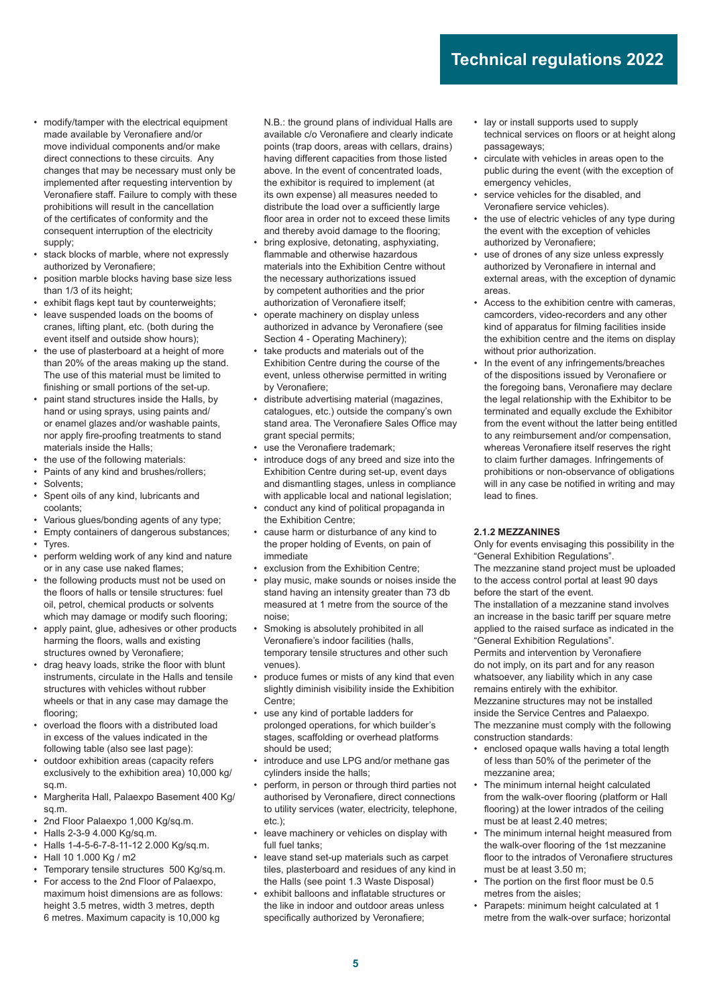- modify/tamper with the electrical equipment made available by Veronafiere and/or move individual components and/or make direct connections to these circuits. Any changes that may be necessary must only be implemented after requesting intervention by Veronafiere staff. Failure to comply with these prohibitions will result in the cancellation of the certificates of conformity and the consequent interruption of the electricity supply;
- stack blocks of marble, where not expressly authorized by Veronafiere;
- position marble blocks having base size less than 1/3 of its height;
- exhibit flags kept taut by counterweights;
- leave suspended loads on the booms of cranes, lifting plant, etc. (both during the event itself and outside show hours);
- the use of plasterboard at a height of more than 20% of the areas making up the stand. The use of this material must be limited to finishing or small portions of the set-up.
- paint stand structures inside the Halls, by hand or using sprays, using paints and/ or enamel glazes and/or washable paints, nor apply fire-proofing treatments to stand materials inside the Halls;
- the use of the following materials:
- Paints of any kind and brushes/rollers;
- Solvents;
- Spent oils of any kind, lubricants and coolants;
- Various glues/bonding agents of any type;
- Empty containers of dangerous substances; Tyres.
- perform welding work of any kind and nature or in any case use naked flames;
- the following products must not be used on the floors of halls or tensile structures: fuel oil, petrol, chemical products or solvents which may damage or modify such flooring;
- apply paint, glue, adhesives or other products harming the floors, walls and existing structures owned by Veronafiere;
- drag heavy loads, strike the floor with blunt instruments, circulate in the Halls and tensile structures with vehicles without rubber wheels or that in any case may damage the flooring;
- overload the floors with a distributed load in excess of the values indicated in the following table (also see last page):
- outdoor exhibition areas (capacity refers exclusively to the exhibition area) 10,000 kg/ sq.m.
- Margherita Hall, Palaexpo Basement 400 Kg/ sq.m.
- 2nd Floor Palaexpo 1,000 Kg/sq.m.
- Halls 2-3-9 4.000 Kg/sq.m.
- Halls 1-4-5-6-7-8-11-12 2.000 Kg/sq.m.
- Hall 10 1.000 Kg / m2
- Temporary tensile structures 500 Kg/sq.m.
- For access to the 2nd Floor of Palaexpo, maximum hoist dimensions are as follows: height 3.5 metres, width 3 metres, depth 6 metres. Maximum capacity is 10,000 kg

N.B.: the ground plans of individual Halls are available c/o Veronafiere and clearly indicate points (trap doors, areas with cellars, drains) having different capacities from those listed above. In the event of concentrated loads, the exhibitor is required to implement (at its own expense) all measures needed to distribute the load over a sufficiently large floor area in order not to exceed these limits and thereby avoid damage to the flooring;

- bring explosive, detonating, asphyxiating, flammable and otherwise hazardous materials into the Exhibition Centre without the necessary authorizations issued by competent authorities and the prior authorization of Veronafiere itself;
- operate machinery on display unless authorized in advance by Veronafiere (see Section 4 - Operating Machinery);
- take products and materials out of the Exhibition Centre during the course of the event, unless otherwise permitted in writing by Veronafiere:
- distribute advertising material (magazines, catalogues, etc.) outside the company's own stand area. The Veronafiere Sales Office may grant special permits;
- use the Veronafiere trademark;
- introduce dogs of any breed and size into the Exhibition Centre during set-up, event days and dismantling stages, unless in compliance with applicable local and national legislation;
- conduct any kind of political propaganda in the Exhibition Centre;
- cause harm or disturbance of any kind to the proper holding of Events, on pain of immediate
- exclusion from the Exhibition Centre;
- play music, make sounds or noises inside the stand having an intensity greater than 73 db measured at 1 metre from the source of the noise;
- Smoking is absolutely prohibited in all Veronafiere's indoor facilities (halls, temporary tensile structures and other such venues).
- produce fumes or mists of any kind that even slightly diminish visibility inside the Exhibition Centre;
- use any kind of portable ladders for prolonged operations, for which builder's stages, scaffolding or overhead platforms should be used;
- introduce and use LPG and/or methane gas cylinders inside the halls;
- perform, in person or through third parties not authorised by Veronafiere, direct connections to utility services (water, electricity, telephone, etc.);
- leave machinery or vehicles on display with full fuel tanks:
- leave stand set-up materials such as carpet tiles, plasterboard and residues of any kind in the Halls (see point 1.3 Waste Disposal)
- exhibit balloons and inflatable structures or the like in indoor and outdoor areas unless specifically authorized by Veronafiere;
- lay or install supports used to supply technical services on floors or at height along passageways;
- circulate with vehicles in areas open to the public during the event (with the exception of emergency vehicles,
- service vehicles for the disabled, and Veronafiere service vehicles).
- the use of electric vehicles of any type during the event with the exception of vehicles authorized by Veronafiere;
- use of drones of any size unless expressly authorized by Veronafiere in internal and external areas, with the exception of dynamic areas.
- Access to the exhibition centre with cameras, camcorders, video-recorders and any other kind of apparatus for filming facilities inside the exhibition centre and the items on display without prior authorization.
- In the event of any infringements/breaches of the dispositions issued by Veronafiere or the foregoing bans, Veronafiere may declare the legal relationship with the Exhibitor to be terminated and equally exclude the Exhibitor from the event without the latter being entitled to any reimbursement and/or compensation, whereas Veronafiere itself reserves the right to claim further damages. Infringements of prohibitions or non-observance of obligations will in any case be notified in writing and may lead to fines.

#### **2.1.2 MEZZANINES**

Only for events envisaging this possibility in the "General Exhibition Regulations". The mezzanine stand project must be uploaded

to the access control portal at least 90 days before the start of the event. The installation of a mezzanine stand involves

an increase in the basic tariff per square metre applied to the raised surface as indicated in the "General Exhibition Regulations". Permits and intervention by Veronafiere do not imply, on its part and for any reason whatsoever, any liability which in any case remains entirely with the exhibitor. Mezzanine structures may not be installed

inside the Service Centres and Palaexpo. The mezzanine must comply with the following construction standards:

- enclosed opaque walls having a total length of less than 50% of the perimeter of the mezzanine area;
- The minimum internal height calculated from the walk-over flooring (platform or Hall flooring) at the lower intrados of the ceiling must be at least 2.40 metres;
- The minimum internal height measured from the walk-over flooring of the 1st mezzanine floor to the intrados of Veronafiere structures must be at least 3.50 m;
- The portion on the first floor must be 0.5 metres from the aisles;
- Parapets: minimum height calculated at 1 metre from the walk-over surface; horizontal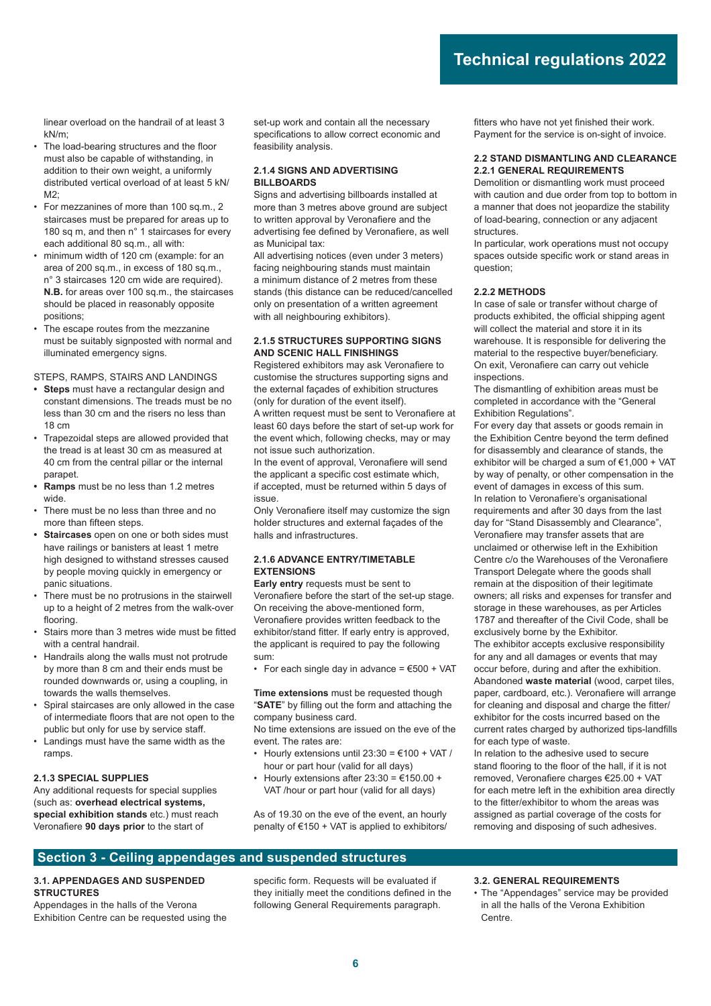linear overload on the handrail of at least 3 kN/m;

- The load-bearing structures and the floor must also be capable of withstanding, in addition to their own weight, a uniformly distributed vertical overload of at least 5 kN/ M2;
- For mezzanines of more than 100 sq.m., 2 staircases must be prepared for areas up to 180 sq m, and then n° 1 staircases for every each additional 80 sq.m., all with:
- minimum width of 120 cm (example: for an area of 200 sq.m., in excess of 180 sq.m., n° 3 staircases 120 cm wide are required). **N.B.** for areas over 100 sq.m., the staircases should be placed in reasonably opposite positions;
- The escape routes from the mezzanine must be suitably signposted with normal and illuminated emergency signs.

STEPS, RAMPS, STAIRS AND LANDINGS

- **Steps** must have a rectangular design and constant dimensions. The treads must be no less than 30 cm and the risers no less than 18 cm
- Trapezoidal steps are allowed provided that the tread is at least 30 cm as measured at 40 cm from the central pillar or the internal parapet.
- **Ramps** must be no less than 1.2 metres wide.
- There must be no less than three and no more than fifteen steps.
- **Staircases** open on one or both sides must have railings or banisters at least 1 metre high designed to withstand stresses caused by people moving quickly in emergency or panic situations.
- There must be no protrusions in the stairwell up to a height of 2 metres from the walk-over flooring.
- Stairs more than 3 metres wide must be fitted with a central handrail.
- Handrails along the walls must not protrude by more than 8 cm and their ends must be rounded downwards or, using a coupling, in towards the walls themselves.
- Spiral staircases are only allowed in the case of intermediate floors that are not open to the public but only for use by service staff.
- Landings must have the same width as the ramps.

#### **2.1.3 SPECIAL SUPPLIES**

Any additional requests for special supplies (such as: **overhead electrical systems, special exhibition stands** etc.) must reach Veronafiere 90 days prior to the start of

set-up work and contain all the necessary specifications to allow correct economic and feasibility analysis.

#### **2.1.4 SIGNS AND ADVERTISING BILLBOARDS**

Signs and advertising billboards installed at more than 3 metres above ground are subject to written approval by Veronafiere and the advertising fee defined by Veronafiere, as well as Municipal tax:

All advertising notices (even under 3 meters) facing neighbouring stands must maintain a minimum distance of 2 metres from these stands (this distance can be reduced/cancelled only on presentation of a written agreement with all neighbouring exhibitors).

#### **2.1.5 STRUCTURES SUPPORTING SIGNS AND SCENIC HALL FINISHINGS**

Registered exhibitors may ask Veronafiere to customise the structures supporting signs and the external façades of exhibition structures (only for duration of the event itself).

A written request must be sent to Veronafiere at least 60 days before the start of set-up work for the event which, following checks, may or may not issue such authorization.

In the event of approval, Veronafiere will send the applicant a specific cost estimate which. if accepted, must be returned within 5 days of issue.

Only Veronafiere itself may customize the sign holder structures and external façades of the halls and infrastructures.

#### **2.1.6 ADVANCE ENTRY/TIMETABLE EXTENSIONS**

**Early entry** requests must be sent to Veronafiere before the start of the set-up stage. On receiving the above-mentioned form, Veronafiere provides written feedback to the exhibitor/stand fitter. If early entry is approved, the applicant is required to pay the following sum:

• For each single day in advance =  $€500 + VAT$ 

**Time extensions** must be requested though "SATE" by filling out the form and attaching the company business card.

No time extensions are issued on the eve of the event. The rates are:

- Hourly extensions until  $23:30 = 6100 + \text{VAT}$  / hour or part hour (valid for all days)
- Hourly extensions after  $23:30 = 6150.00 +$ VAT /hour or part hour (valid for all days)

As of 19.30 on the eve of the event, an hourly penalty of €150 + VAT is applied to exhibitors/ fitters who have not yet finished their work. Payment for the service is on-sight of invoice.

#### **2.2 STAND DISMANTLING AND CLEARANCE 2.2.1 GENERAL REQUIREMENTS**

Demolition or dismantling work must proceed with caution and due order from top to bottom in a manner that does not jeopardize the stability of load-bearing, connection or any adjacent structures.

In particular, work operations must not occupy spaces outside specific work or stand areas in question;

#### **2.2.2 METHODS**

In case of sale or transfer without charge of products exhibited, the official shipping agent will collect the material and store it in its warehouse. It is responsible for delivering the material to the respective buyer/beneficiary. On exit, Veronafiere can carry out vehicle inspections.

The dismantling of exhibition areas must be completed in accordance with the "General Exhibition Regulations".

For every day that assets or goods remain in the Exhibition Centre beyond the term defined for disassembly and clearance of stands, the exhibitor will be charged a sum of €1,000 + VAT by way of penalty, or other compensation in the event of damages in excess of this sum. In relation to Veronafiere's organisational requirements and after 30 days from the last day for "Stand Disassembly and Clearance", Veronafiere may transfer assets that are unclaimed or otherwise left in the Exhibition Centre c/o the Warehouses of the Veronafiere Transport Delegate where the goods shall remain at the disposition of their legitimate owners; all risks and expenses for transfer and storage in these warehouses, as per Articles 1787 and thereafter of the Civil Code, shall be exclusively borne by the Exhibitor. The exhibitor accepts exclusive responsibility for any and all damages or events that may occur before, during and after the exhibition. Abandoned **waste material** (wood, carpet tiles, paper, cardboard, etc.). Veronafiere will arrange for cleaning and disposal and charge the fitter/

exhibitor for the costs incurred based on the current rates charged by authorized tips-landfills for each type of waste.

In relation to the adhesive used to secure stand flooring to the floor of the hall, if it is not removed, Veronafiere charges €25.00 + VAT for each metre left in the exhibition area directly to the fitter/exhibitor to whom the areas was assigned as partial coverage of the costs for removing and disposing of such adhesives.

### **Section 3 - Ceiling appendages and suspended structures**

## **3.1. APPENDAGES AND SUSPENDED STRUCTURES**

Appendages in the halls of the Verona Exhibition Centre can be requested using the specific form. Requests will be evaluated if they initially meet the conditions defined in the following General Requirements paragraph.

#### **3.2. GENERAL REQUIREMENTS**

• The "Appendages" service may be provided in all the halls of the Verona Exhibition Centre.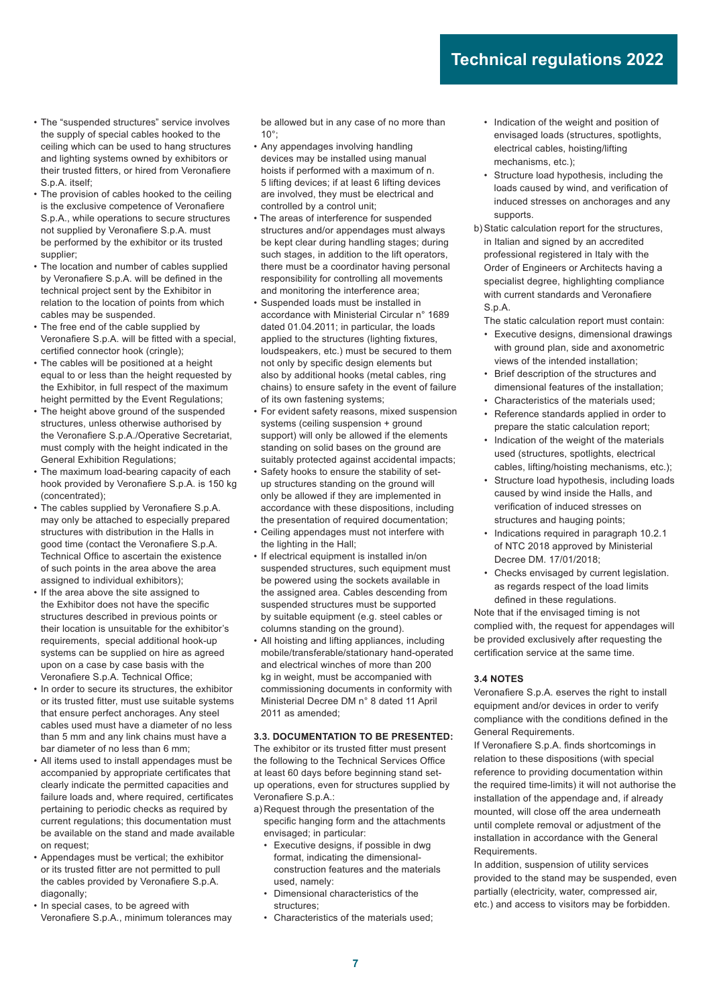- The "suspended structures" service involves the supply of special cables hooked to the ceiling which can be used to hang structures and lighting systems owned by exhibitors or their trusted fitters, or hired from Veronafiere S.p.A. itself:
- The provision of cables hooked to the ceiling is the exclusive competence of Veronafiere S.p.A., while operations to secure structures not supplied by Veronafiere S.p.A. must be performed by the exhibitor or its trusted supplier;
- The location and number of cables supplied by Veronafiere S.p.A. will be defined in the technical project sent by the Exhibitor in relation to the location of points from which cables may be suspended.
- The free end of the cable supplied by Veronafiere S.p.A. will be fitted with a special. certified connector hook (cringle);
- The cables will be positioned at a height equal to or less than the height requested by the Exhibitor, in full respect of the maximum height permitted by the Event Regulations;
- The height above ground of the suspended structures, unless otherwise authorised by the Veronafiere S.p.A./Operative Secretariat, must comply with the height indicated in the General Exhibition Regulations;
- The maximum load-bearing capacity of each hook provided by Veronafiere S.p.A. is 150 kg (concentrated);
- The cables supplied by Veronafiere S.p.A. may only be attached to especially prepared structures with distribution in the Halls in good time (contact the Veronafiere S.p.A. Technical Office to ascertain the existence of such points in the area above the area assigned to individual exhibitors);
- If the area above the site assigned to the Exhibitor does not have the specific structures described in previous points or their location is unsuitable for the exhibitor's requirements, special additional hook-up systems can be supplied on hire as agreed upon on a case by case basis with the Veronafiere S.p.A. Technical Office;
- In order to secure its structures, the exhibitor or its trusted fitter, must use suitable systems that ensure perfect anchorages. Any steel cables used must have a diameter of no less than 5 mm and any link chains must have a bar diameter of no less than 6 mm;
- All items used to install appendages must be accompanied by appropriate certificates that clearly indicate the permitted capacities and failure loads and, where required, certificates pertaining to periodic checks as required by current regulations; this documentation must be available on the stand and made available on request;
- Appendages must be vertical; the exhibitor or its trusted fitter are not permitted to pull the cables provided by Veronafiere S.p.A. diagonally;
- In special cases, to be agreed with Veronafiere S.p.A., minimum tolerances may

be allowed but in any case of no more than 10°;

- Any appendages involving handling devices may be installed using manual hoists if performed with a maximum of n. 5 lifting devices; if at least 6 lifting devices are involved, they must be electrical and controlled by a control unit;
- The areas of interference for suspended structures and/or appendages must always be kept clear during handling stages; during such stages, in addition to the lift operators, there must be a coordinator having personal responsibility for controlling all movements and monitoring the interference area;
- Suspended loads must be installed in accordance with Ministerial Circular n° 1689 dated 01.04.2011; in particular, the loads applied to the structures (lighting fixtures, loudspeakers, etc.) must be secured to them not only by specific design elements but also by additional hooks (metal cables, ring chains) to ensure safety in the event of failure of its own fastening systems;
- For evident safety reasons, mixed suspension systems (ceiling suspension + ground support) will only be allowed if the elements standing on solid bases on the ground are suitably protected against accidental impacts;
- Safety hooks to ensure the stability of setup structures standing on the ground will only be allowed if they are implemented in accordance with these dispositions, including the presentation of required documentation;
- Ceiling appendages must not interfere with the lighting in the Hall;
- If electrical equipment is installed in/on suspended structures, such equipment must be powered using the sockets available in the assigned area. Cables descending from suspended structures must be supported by suitable equipment (e.g. steel cables or columns standing on the ground).
- All hoisting and lifting appliances, including mobile/transferable/stationary hand-operated and electrical winches of more than 200 kg in weight, must be accompanied with commissioning documents in conformity with Ministerial Decree DM n° 8 dated 11 April 2011 as amended;

#### **3.3. DOCUMENTATION TO BE PRESENTED:**

The exhibitor or its trusted fitter must present the following to the Technical Services Office at least 60 days before beginning stand setup operations, even for structures supplied by Veronafiere S.p.A.:

- a) Request through the presentation of the specific hanging form and the attachments envisaged; in particular:
	- Executive designs, if possible in dwg format, indicating the dimensionalconstruction features and the materials used, namely:
	- Dimensional characteristics of the structures;
	- Characteristics of the materials used;
- Indication of the weight and position of envisaged loads (structures, spotlights, electrical cables, hoisting/lifting mechanisms, etc.);
- Structure load hypothesis, including the loads caused by wind, and verification of induced stresses on anchorages and any supports.
- b) Static calculation report for the structures, in Italian and signed by an accredited professional registered in Italy with the Order of Engineers or Architects having a specialist degree, highlighting compliance with current standards and Veronafiere S.p.A.

The static calculation report must contain:

- Executive designs, dimensional drawings with ground plan, side and axonometric views of the intended installation;
- Brief description of the structures and dimensional features of the installation;
- Characteristics of the materials used;
- Reference standards applied in order to prepare the static calculation report;
- Indication of the weight of the materials used (structures, spotlights, electrical cables, lifting/hoisting mechanisms, etc.);
- Structure load hypothesis, including loads caused by wind inside the Halls, and verification of induced stresses on structures and hauging points;
- Indications required in paragraph 10.2.1 of NTC 2018 approved by Ministerial Decree DM. 17/01/2018;
- Checks envisaged by current legislation. as regards respect of the load limits defined in these regulations.

Note that if the envisaged timing is not complied with, the request for appendages will be provided exclusively after requesting the certification service at the same time.

#### **3.4 NOTES**

Veronafiere S.p.A. eserves the right to install equipment and/or devices in order to verify compliance with the conditions defined in the General Requirements.

If Veronafiere S.p.A. finds shortcomings in relation to these dispositions (with special reference to providing documentation within the required time-limits) it will not authorise the installation of the appendage and, if already mounted, will close off the area underneath until complete removal or adjustment of the installation in accordance with the General **Requirements** 

In addition, suspension of utility services provided to the stand may be suspended, even partially (electricity, water, compressed air, etc.) and access to visitors may be forbidden.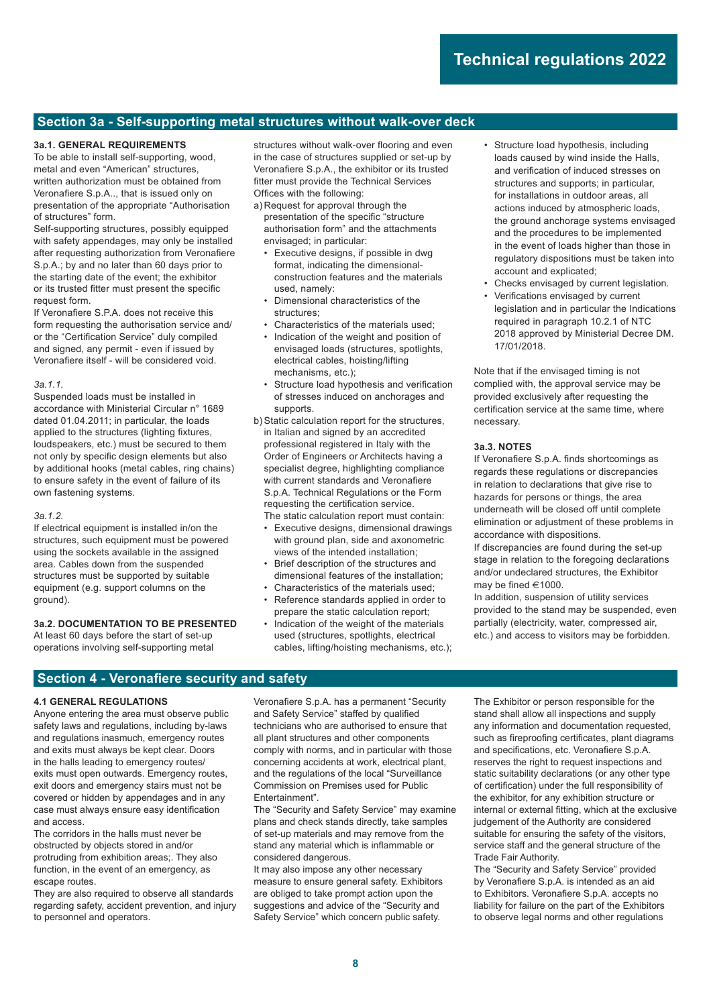## **Section 3a - Self-supporting metal structures without walk-over deck**

#### **3a.1. GENERAL REQUIREMENTS**

To be able to install self-supporting, wood, metal and even "American" structures, written authorization must be obtained from Veronafiere S.p.A.., that is issued only on presentation of the appropriate "Authorisation of structures" form.

Self-supporting structures, possibly equipped with safety appendages, may only be installed after requesting authorization from Veronafiere S.p.A.; by and no later than 60 days prior to the starting date of the event; the exhibitor or its trusted fitter must present the specific request form.

If Veronafiere S.P.A. does not receive this form requesting the authorisation service and/ or the "Certification Service" duly compiled and signed, any permit - even if issued by Veronafiere itself - will be considered void.

#### *3a.1.1.*

Suspended loads must be installed in accordance with Ministerial Circular n° 1689 dated 01.04.2011; in particular, the loads applied to the structures (lighting fixtures, loudspeakers, etc.) must be secured to them not only by specific design elements but also by additional hooks (metal cables, ring chains) to ensure safety in the event of failure of its own fastening systems.

#### *3a.1.2.*

If electrical equipment is installed in/on the structures, such equipment must be powered using the sockets available in the assigned area. Cables down from the suspended structures must be supported by suitable equipment (e.g. support columns on the ground).

#### **3a.2. DOCUMENTATION TO BE PRESENTED**

At least 60 days before the start of set-up operations involving self-supporting metal structures without walk-over flooring and even in the case of structures supplied or set-up by Veronafiere S.p.A., the exhibitor or its trusted fitter must provide the Technical Services Offices with the following:

a) Request for approval through the presentation of the specific "structure authorisation form" and the attachments envisaged; in particular:

- Executive designs, if possible in dwg format, indicating the dimensionalconstruction features and the materials used, namely:
- Dimensional characteristics of the structures;
- Characteristics of the materials used; • Indication of the weight and position of envisaged loads (structures, spotlights,
- electrical cables, hoisting/lifting mechanisms, etc.); Structure load hypothesis and verification
- of stresses induced on anchorages and supports.
- b) Static calculation report for the structures, in Italian and signed by an accredited professional registered in Italy with the Order of Engineers or Architects having a specialist degree, highlighting compliance with current standards and Veronafiere S.p.A. Technical Regulations or the Form requesting the certification service. The static calculation report must contain:
	- Executive designs, dimensional drawings with ground plan, side and axonometric views of the intended installation;
	- Brief description of the structures and dimensional features of the installation;
	- Characteristics of the materials used;
	- Reference standards applied in order to prepare the static calculation report;
	- Indication of the weight of the materials used (structures, spotlights, electrical cables, lifting/hoisting mechanisms, etc.);
- Structure load hypothesis, including loads caused by wind inside the Halls, and verification of induced stresses on structures and supports; in particular, for installations in outdoor areas, all actions induced by atmospheric loads, the ground anchorage systems envisaged and the procedures to be implemented in the event of loads higher than those in regulatory dispositions must be taken into account and explicated;
- Checks envisaged by current legislation.
- Verifications envisaged by current legislation and in particular the Indications required in paragraph 10.2.1 of NTC 2018 approved by Ministerial Decree DM. 17/01/2018.

Note that if the envisaged timing is not complied with, the approval service may be provided exclusively after requesting the certification service at the same time, where necessary.

#### **3a.3. NOTES**

If Veronafiere S.p.A. finds shortcomings as regards these regulations or discrepancies in relation to declarations that give rise to hazards for persons or things, the area underneath will be closed off until complete elimination or adjustment of these problems in accordance with dispositions.

If discrepancies are found during the set-up stage in relation to the foregoing declarations and/or undeclared structures, the Exhibitor may be fined  $\in 1000$ .

In addition, suspension of utility services provided to the stand may be suspended, even partially (electricity, water, compressed air, etc.) and access to visitors may be forbidden.

## **Section 4 - Veronafiere security and safety**

#### **4.1 GENERAL REGULATIONS**

Anyone entering the area must observe public safety laws and regulations, including by-laws and regulations inasmuch, emergency routes and exits must always be kept clear. Doors in the halls leading to emergency routes/ exits must open outwards. Emergency routes, exit doors and emergency stairs must not be covered or hidden by appendages and in any case must always ensure easy identification and access.

The corridors in the halls must never be obstructed by objects stored in and/or protruding from exhibition areas;. They also function, in the event of an emergency, as escape routes.

They are also required to observe all standards regarding safety, accident prevention, and injury to personnel and operators.

Veronafiere S.p.A. has a permanent "Security and Safety Service" staffed by qualified technicians who are authorised to ensure that all plant structures and other components comply with norms, and in particular with those concerning accidents at work, electrical plant, and the regulations of the local "Surveillance Commission on Premises used for Public Entertainment".

The "Security and Safety Service" may examine plans and check stands directly, take samples of set-up materials and may remove from the stand any material which is inflammable or considered dangerous.

It may also impose any other necessary measure to ensure general safety. Exhibitors are obliged to take prompt action upon the suggestions and advice of the "Security and Safety Service" which concern public safety.

The Exhibitor or person responsible for the stand shall allow all inspections and supply any information and documentation requested, such as fireproofing certificates, plant diagrams and specifications, etc. Veronafiere S.p.A. reserves the right to request inspections and static suitability declarations (or any other type of certification) under the full responsibility of the exhibitor, for any exhibition structure or internal or external fitting, which at the exclusive judgement of the Authority are considered suitable for ensuring the safety of the visitors, service staff and the general structure of the Trade Fair Authority.

The "Security and Safety Service" provided by Veronafiere S.p.A. is intended as an aid to Exhibitors. Veronafiere S.p.A. accepts no liability for failure on the part of the Exhibitors to observe legal norms and other regulations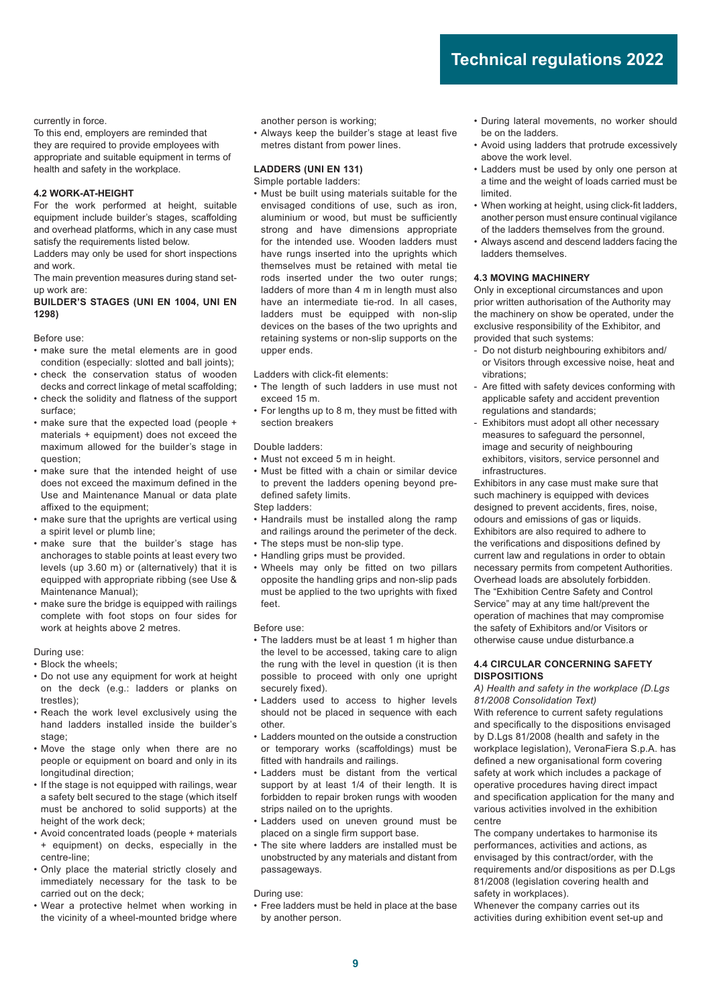currently in force.

To this end, employers are reminded that they are required to provide employees with appropriate and suitable equipment in terms of health and safety in the workplace.

#### **4.2 WORK-AT-HEIGHT**

For the work performed at height, suitable equipment include builder's stages, scaffolding and overhead platforms, which in any case must satisfy the requirements listed below.

Ladders may only be used for short inspections and work.

The main prevention measures during stand setup work are:

#### **BUILDER'S STAGES (UNI EN 1004, UNI EN 1298)**

Before use:

- make sure the metal elements are in good condition (especially: slotted and ball joints);
- check the conservation status of wooden decks and correct linkage of metal scaffolding;
- check the solidity and flatness of the support surface;
- make sure that the expected load (people + materials + equipment) does not exceed the maximum allowed for the builder's stage in question;
- make sure that the intended height of use does not exceed the maximum defined in the Use and Maintenance Manual or data plate affixed to the equipment:
- make sure that the uprights are vertical using a spirit level or plumb line;
- make sure that the builder's stage has anchorages to stable points at least every two levels (up 3.60 m) or (alternatively) that it is equipped with appropriate ribbing (see Use & Maintenance Manual);
- make sure the bridge is equipped with railings complete with foot stops on four sides for work at heights above 2 metres.

During use:

- Block the wheels;
- Do not use any equipment for work at height on the deck (e.g.: ladders or planks on trestles);
- Reach the work level exclusively using the hand ladders installed inside the builder's stage;
- Move the stage only when there are no people or equipment on board and only in its longitudinal direction;
- If the stage is not equipped with railings, wear a safety belt secured to the stage (which itself must be anchored to solid supports) at the height of the work deck;
- Avoid concentrated loads (people + materials + equipment) on decks, especially in the centre-line;
- Only place the material strictly closely and immediately necessary for the task to be carried out on the deck;
- Wear a protective helmet when working in the vicinity of a wheel-mounted bridge where

another person is working;

• Always keep the builder's stage at least five metres distant from power lines.

#### **LADDERS (UNI EN 131)**

- Simple portable ladders:
- Must be built using materials suitable for the envisaged conditions of use, such as iron, aluminium or wood, but must be sufficiently strong and have dimensions appropriate for the intended use. Wooden ladders must have rungs inserted into the uprights which themselves must be retained with metal tie rods inserted under the two outer rungs; ladders of more than 4 m in length must also have an intermediate tie-rod. In all cases, ladders must be equipped with non-slip devices on the bases of the two uprights and retaining systems or non-slip supports on the upper ends.

Ladders with click-fit elements:

- The length of such ladders in use must not exceed 15 m.
- For lengths up to 8 m, they must be fitted with section breakers

Double ladders:

- Must not exceed 5 m in height.
- Must be fitted with a chain or similar device to prevent the ladders opening beyond predefined safety limits.

Step ladders:

- Handrails must be installed along the ramp and railings around the perimeter of the deck.
- The steps must be non-slip type.
- Handling grips must be provided.
- Wheels may only be fitted on two pillars opposite the handling grips and non-slip pads must be applied to the two uprights with fixed feet.

#### Before use:

- The ladders must be at least 1 m higher than the level to be accessed, taking care to align the rung with the level in question (it is then possible to proceed with only one upright securely fixed).
- Ladders used to access to higher levels should not be placed in sequence with each other.
- Ladders mounted on the outside a construction or temporary works (scaffoldings) must be fitted with handrails and railings.
- Ladders must be distant from the vertical support by at least 1/4 of their length. It is forbidden to repair broken rungs with wooden strips nailed on to the uprights.
- Ladders used on uneven ground must be placed on a single firm support base.
- The site where ladders are installed must be unobstructed by any materials and distant from passageways.

During use:

• Free ladders must be held in place at the base by another person.

- During lateral movements, no worker should be on the ladders.
- Avoid using ladders that protrude excessively above the work level.
- Ladders must be used by only one person at a time and the weight of loads carried must be limited.
- When working at height, using click-fit ladders, another person must ensure continual vigilance of the ladders themselves from the ground.
- Always ascend and descend ladders facing the ladders themselves.

#### **4.3 MOVING MACHINERY**

Only in exceptional circumstances and upon prior written authorisation of the Authority may the machinery on show be operated, under the exclusive responsibility of the Exhibitor, and provided that such systems:

- Do not disturb neighbouring exhibitors and/ or Visitors through excessive noise, heat and vibrations;
- Are fitted with safety devices conforming with applicable safety and accident prevention regulations and standards;
- Exhibitors must adopt all other necessary measures to safeguard the personnel, image and security of neighbouring exhibitors, visitors, service personnel and **infrastructures**

Exhibitors in any case must make sure that such machinery is equipped with devices designed to prevent accidents, fires, noise, odours and emissions of gas or liquids. Exhibitors are also required to adhere to the verifications and dispositions defined by current law and regulations in order to obtain necessary permits from competent Authorities. Overhead loads are absolutely forbidden. The "Exhibition Centre Safety and Control Service" may at any time halt/prevent the operation of machines that may compromise the safety of Exhibitors and/or Visitors or otherwise cause undue disturbance.a

#### **4.4 CIRCULAR CONCERNING SAFETY DISPOSITIONS**

*A) Health and safety in the workplace (D.Lgs 81/2008 Consolidation Text)* With reference to current safety regulations and specifically to the dispositions envisaged by D.Lgs 81/2008 (health and safety in the workplace legislation), VeronaFiera S.p.A. has defined a new organisational form covering safety at work which includes a package of operative procedures having direct impact and specification application for the many and various activities involved in the exhibition centre

The company undertakes to harmonise its performances, activities and actions, as envisaged by this contract/order, with the requirements and/or dispositions as per D.Lgs 81/2008 (legislation covering health and safety in workplaces).

Whenever the company carries out its activities during exhibition event set-up and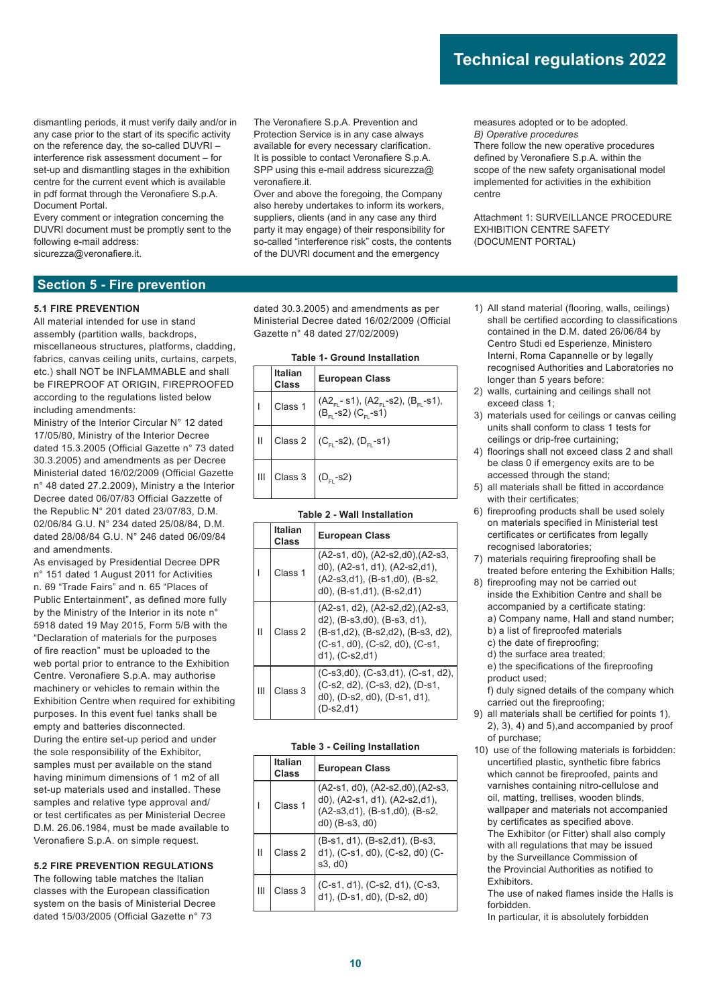dismantling periods, it must verify daily and/or in any case prior to the start of its specific activity on the reference day, the so-called DUVRI – interference risk assessment document – for set-up and dismantling stages in the exhibition centre for the current event which is available in pdf format through the Veronafiere S.p.A. Document Portal.

Every comment or integration concerning the DUVRI document must be promptly sent to the following e-mail address: sicurezza@veronafiere.it.

The Veronafiere S.p.A. Prevention and Protection Service is in any case always available for every necessary clarification. It is possible to contact Veronafiere S.p.A. SPP using this e-mail address sicurezza@ veronafiere.it.

Over and above the foregoing, the Company also hereby undertakes to inform its workers, suppliers, clients (and in any case any third party it may engage) of their responsibility for so-called "interference risk" costs, the contents of the DUVRI document and the emergency

measures adopted or to be adopted. *B) Operative procedures*

There follow the new operative procedures defined by Veronafiere S.p.A. within the scope of the new safety organisational model implemented for activities in the exhibition centre

Attachment 1: SURVEILLANCE PROCEDURE EXHIBITION CENTRE SAFETY (DOCUMENT PORTAL)

### **Section 5 - Fire prevention**

#### **5.1 FIRE PREVENTION**

All material intended for use in stand assembly (partition walls, backdrops, miscellaneous structures, platforms, cladding, fabrics, canvas ceiling units, curtains, carpets, etc.) shall NOT be INFLAMMABLE and shall be FIREPROOF AT ORIGIN, FIREPROOFED according to the regulations listed below including amendments:

Ministry of the Interior Circular N° 12 dated 17/05/80, Ministry of the Interior Decree dated 15.3.2005 (Official Gazette n° 73 dated 30.3.2005) and amendments as per Decree Ministerial dated 16/02/2009 (Official Gazette n° 48 dated 27.2.2009), Ministry a the Interior Decree dated 06/07/83 Official Gazzette of the Republic N° 201 dated 23/07/83, D.M. 02/06/84 G.U. N° 234 dated 25/08/84, D.M. dated 28/08/84 G.U. N° 246 dated 06/09/84 and amendments.

As envisaged by Presidential Decree DPR n° 151 dated 1 August 2011 for Activities n. 69 "Trade Fairs" and n. 65 "Places of Public Entertainment", as defined more fully by the Ministry of the Interior in its note n° 5918 dated 19 May 2015, Form 5/B with the "Declaration of materials for the purposes of fire reaction" must be uploaded to the web portal prior to entrance to the Exhibition Centre. Veronafiere S.p.A. may authorise machinery or vehicles to remain within the Exhibition Centre when required for exhibiting purposes. In this event fuel tanks shall be empty and batteries disconnected. During the entire set-up period and under the sole responsibility of the Exhibitor, samples must per available on the stand having minimum dimensions of 1 m2 of all set-up materials used and installed. These samples and relative type approval and/ or test certificates as per Ministerial Decree D.M. 26.06.1984, must be made available to Veronafiere S.p.A. on simple request.

#### **5.2 FIRE PREVENTION REGULATIONS**

The following table matches the Italian classes with the European classification system on the basis of Ministerial Decree dated 15/03/2005 (Official Gazette n° 73

dated 30.3.2005) and amendments as per Ministerial Decree dated 16/02/2009 (Official Gazette n° 48 dated 27/02/2009)

| Table T- Ground Installation |                                       |                                                                                                  |  |  |  |  |
|------------------------------|---------------------------------------|--------------------------------------------------------------------------------------------------|--|--|--|--|
|                              | <b>Italian</b><br><b>Class</b>        | <b>European Class</b>                                                                            |  |  |  |  |
|                              | Class 1                               | $ (A2_{FL} - s1), (A2_{FL} - s2), (B_{FL} - s1),$<br>(B <sub>FL</sub> -s2) (C <sub>FL</sub> -s1) |  |  |  |  |
| $\mathbf{H}$                 |                                       | Class 2 $(C_{FL}$ -s2), $(D_{FL}$ -s1)                                                           |  |  |  |  |
| Ш                            | Class 3 $\Big $ (D <sub>FL</sub> -s2) |                                                                                                  |  |  |  |  |

### **Table 1- Ground Installation**

#### **Table 2 - Wall Installation**

|   | Italian<br>Class | <b>European Class</b>                                                                                                                                         |
|---|------------------|---------------------------------------------------------------------------------------------------------------------------------------------------------------|
|   | Class 1          | $(A2-s1, d0)$ , $(A2-s2,d0)$ , $(A2-s3, d0)$<br>d0), (A2-s1, d1), (A2-s2,d1),<br>(A2-s3,d1), (B-s1,d0), (B-s2,<br>d0), (B-s1,d1), (B-s2,d1)                   |
| Ш | Class 2          | (A2-s1, d2), (A2-s2,d2), (A2-s3,<br>d2), (B-s3,d0), (B-s3, d1),<br>(B-s1,d2), (B-s2,d2), (B-s3, d2),<br>(C-s1, d0), (C-s2, d0), (C-s1,<br>$d1$ ), $(C-s2,d1)$ |
| Ш | Class 3          | $(C-s3,d0)$ , $(C-s3,d1)$ , $(C-s1, d2)$ ,<br>(C-s2, d2), (C-s3, d2), (D-s1,<br>$d0$ , (D-s2, $d0$ ), (D-s1, $d1$ ),<br>D-s2,d1)                              |

#### **Table 3 - Ceiling Installation**

|   | <b>Italian</b><br>Class | <b>European Class</b>                                                                                                      |  |  |  |  |  |
|---|-------------------------|----------------------------------------------------------------------------------------------------------------------------|--|--|--|--|--|
|   | Class 1                 | (A2-s1, d0), (A2-s2,d0), (A2-s3,<br>d0), (A2-s1, d1), (A2-s2,d1),<br>(A2-s3,d1), (B-s1,d0), (B-s2,<br>$d0$ ) (B-s3, $d0$ ) |  |  |  |  |  |
| Ш | Class 2                 | (B-s1, d1), (B-s2,d1), (B-s3,<br>d1), (C-s1, d0), (C-s2, d0) (C-<br>s3, d0)                                                |  |  |  |  |  |
| Ш | Class 3                 | (C-s1, d1), (C-s2, d1), (C-s3,<br>d1), (D-s1, d0), (D-s2, d0)                                                              |  |  |  |  |  |

- 1) All stand material (flooring, walls, ceilings) shall be certified according to classifications contained in the D.M. dated 26/06/84 by Centro Studi ed Esperienze, Ministero Interni, Roma Capannelle or by legally recognised Authorities and Laboratories no longer than 5 years before:
- 2) walls, curtaining and ceilings shall not exceed class 1;
- 3) materials used for ceilings or canvas ceiling units shall conform to class 1 tests for ceilings or drip-free curtaining;
- 4) floorings shall not exceed class 2 and shall be class 0 if emergency exits are to be accessed through the stand;
- 5) all materials shall be fitted in accordance with their certificates;
- 6) fireproofing products shall be used solely on materials specified in Ministerial test certificates or certificates from legally recognised laboratories;
- 7) materials requiring fireproofing shall be treated before entering the Exhibition Halls;
- 8) fireproofing may not be carried out inside the Exhibition Centre and shall be accompanied by a certificate stating: a) Company name, Hall and stand number;
	- b) a list of fireproofed materials
	- c) the date of fireproofing; d) the surface area treated;
	- e) the specifications of the fireproofing product used;

 f) duly signed details of the company which carried out the fireproofing;

- 9) all materials shall be certified for points 1), 2), 3), 4) and 5),and accompanied by proof of purchase;
- 10) use of the following materials is forbidden: uncertified plastic, synthetic fibre fabrics which cannot be fireproofed, paints and varnishes containing nitro-cellulose and oil, matting, trellises, wooden blinds, wallpaper and materials not accompanied by certificates as specified above. The Exhibitor (or Fitter) shall also comply with all regulations that may be issued by the Surveillance Commission of the Provincial Authorities as notified to Exhibitors.

 The use of naked flames inside the Halls is forbidden.

In particular, it is absolutely forbidden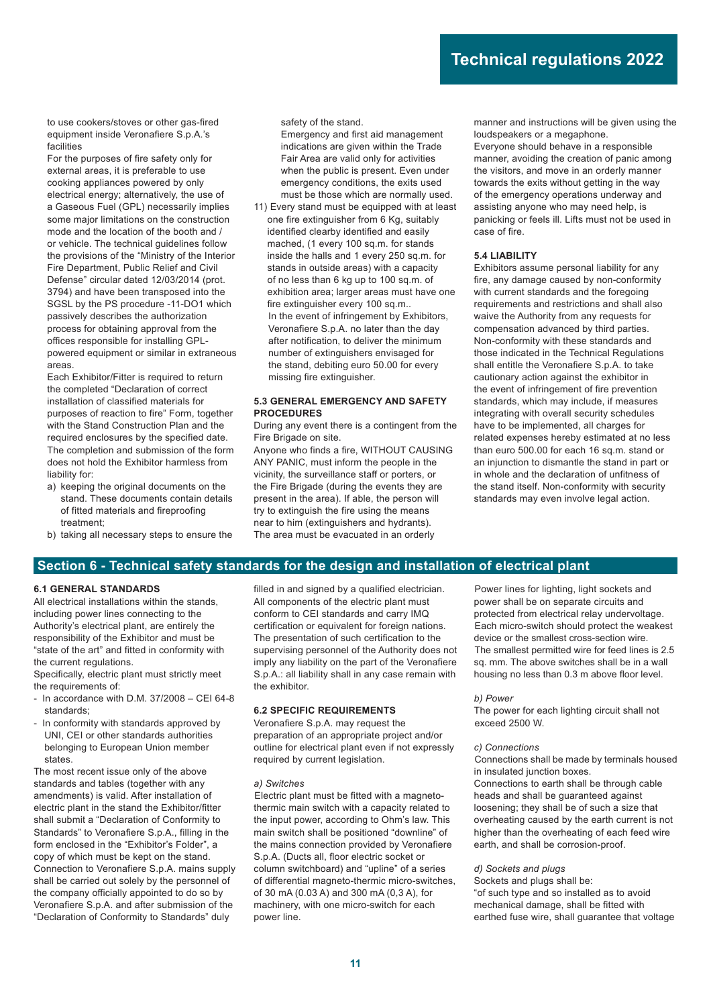to use cookers/stoves or other gas-fired equipment inside Veronafiere S.p.A.'s facilities

 For the purposes of fire safety only for external areas, it is preferable to use cooking appliances powered by only electrical energy; alternatively, the use of a Gaseous Fuel (GPL) necessarily implies some major limitations on the construction mode and the location of the booth and / or vehicle. The technical guidelines follow the provisions of the "Ministry of the Interior Fire Department, Public Relief and Civil Defense" circular dated 12/03/2014 (prot. 3794) and have been transposed into the SGSL by the PS procedure -11-DO1 which passively describes the authorization process for obtaining approval from the offices responsible for installing GPLpowered equipment or similar in extraneous areas.

 Each Exhibitor/Fitter is required to return the completed "Declaration of correct installation of classified materials for purposes of reaction to fire" Form, together with the Stand Construction Plan and the required enclosures by the specified date. The completion and submission of the form does not hold the Exhibitor harmless from liability for:

- a) keeping the original documents on the stand. These documents contain details of fitted materials and fireproofing treatment;
- b) taking all necessary steps to ensure the

safety of the stand.

 Emergency and first aid management indications are given within the Trade Fair Area are valid only for activities when the public is present. Even under emergency conditions, the exits used must be those which are normally used.

11)Every stand must be equipped with at least one fire extinguisher from 6 Kg, suitably identified clearby identified and easily mached, (1 every 100 sq.m. for stands inside the halls and 1 every 250 sq.m. for stands in outside areas) with a capacity of no less than 6 kg up to 100 sq.m. of exhibition area; larger areas must have one fire extinguisher every 100 sq.m.. In the event of infringement by Exhibitors, Veronafiere S.p.A. no later than the day after notification, to deliver the minimum number of extinguishers envisaged for the stand, debiting euro 50.00 for every missing fire extinguisher.

#### **5.3 GENERAL EMERGENCY AND SAFETY PROCEDURES**

During any event there is a contingent from the Fire Brigade on site.

Anyone who finds a fire, WITHOUT CAUSING ANY PANIC, must inform the people in the vicinity, the surveillance staff or porters, or the Fire Brigade (during the events they are present in the area). If able, the person will try to extinguish the fire using the means near to him (extinguishers and hydrants). The area must be evacuated in an orderly

manner and instructions will be given using the loudspeakers or a megaphone.

Everyone should behave in a responsible manner, avoiding the creation of panic among the visitors, and move in an orderly manner towards the exits without getting in the way of the emergency operations underway and assisting anyone who may need help, is panicking or feels ill. Lifts must not be used in case of fire.

#### **5.4 LIABILITY**

Exhibitors assume personal liability for any fire, any damage caused by non-conformity with current standards and the foregoing requirements and restrictions and shall also waive the Authority from any requests for compensation advanced by third parties. Non-conformity with these standards and those indicated in the Technical Regulations shall entitle the Veronafiere S.p.A. to take cautionary action against the exhibitor in the event of infringement of fire prevention standards, which may include, if measures integrating with overall security schedules have to be implemented, all charges for related expenses hereby estimated at no less than euro 500.00 for each 16 sq.m. stand or an injunction to dismantle the stand in part or in whole and the declaration of unfitness of the stand itself. Non-conformity with security standards may even involve legal action.

### **Section 6 - Technical safety standards for the design and installation of electrical plant**

#### **6.1 GENERAL STANDARDS**

All electrical installations within the stands, including power lines connecting to the Authority's electrical plant, are entirely the responsibility of the Exhibitor and must be "state of the art" and fitted in conformity with the current regulations.

Specifically, electric plant must strictly meet the requirements of:

- In accordance with D.M. 37/2008 CEI 64-8 standards;
- In conformity with standards approved by UNI, CEI or other standards authorities belonging to European Union member states.

The most recent issue only of the above standards and tables (together with any amendments) is valid. After installation of electric plant in the stand the Exhibitor/fitter shall submit a "Declaration of Conformity to Standards" to Veronafiere S.p.A., filling in the form enclosed in the "Exhibitor's Folder", a copy of which must be kept on the stand. Connection to Veronafiere S.p.A. mains supply shall be carried out solely by the personnel of the company officially appointed to do so by Veronafiere S.p.A. and after submission of the "Declaration of Conformity to Standards" duly

filled in and signed by a qualified electrician. All components of the electric plant must conform to CEI standards and carry IMQ certification or equivalent for foreign nations. The presentation of such certification to the supervising personnel of the Authority does not imply any liability on the part of the Veronafiere S.p.A.: all liability shall in any case remain with the exhibitor.

### **6.2 SPECIFIC REQUIREMENTS**

Veronafiere S.p.A. may request the preparation of an appropriate project and/or outline for electrical plant even if not expressly required by current legislation.

#### *a) Switches*

Electric plant must be fitted with a magnetothermic main switch with a capacity related to the input power, according to Ohm's law. This main switch shall be positioned "downline" of the mains connection provided by Veronafiere S.p.A. (Ducts all, floor electric socket or column switchboard) and "upline" of a series of differential magneto-thermic micro-switches, of 30 mA (0.03 A) and 300 mA (0,3 A), for machinery, with one micro-switch for each power line.

Power lines for lighting, light sockets and power shall be on separate circuits and protected from electrical relay undervoltage. Each micro-switch should protect the weakest device or the smallest cross-section wire. The smallest permitted wire for feed lines is 2.5 sq. mm. The above switches shall be in a wall housing no less than 0.3 m above floor level.

#### *b) Power*

The power for each lighting circuit shall not exceed 2500 W.

#### *c) Connections*

Connections shall be made by terminals housed in insulated junction boxes. Connections to earth shall be through cable

heads and shall be guaranteed against loosening; they shall be of such a size that overheating caused by the earth current is not higher than the overheating of each feed wire earth, and shall be corrosion-proof.

#### *d) Sockets and plugs*

Sockets and plugs shall be: "of such type and so installed as to avoid mechanical damage, shall be fitted with earthed fuse wire, shall guarantee that voltage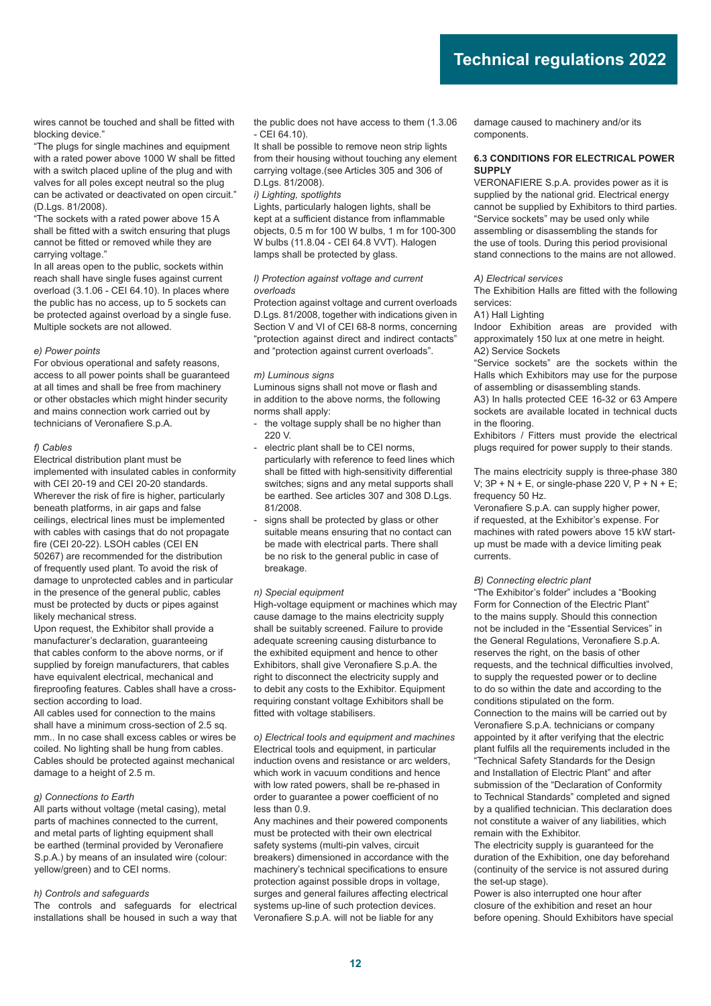wires cannot be touched and shall be fitted with blocking device."

"The plugs for single machines and equipment with a rated power above 1000 W shall be fitted with a switch placed upline of the plug and with valves for all poles except neutral so the plug can be activated or deactivated on open circuit." (D.Lgs. 81/2008).

"The sockets with a rated power above 15 A shall be fitted with a switch ensuring that plugs cannot be fitted or removed while they are carrying voltage."

In all areas open to the public, sockets within reach shall have single fuses against current overload (3.1.06 - CEI 64.10). In places where the public has no access, up to 5 sockets can be protected against overload by a single fuse. Multiple sockets are not allowed.

#### *e) Power points*

For obvious operational and safety reasons, access to all power points shall be guaranteed at all times and shall be free from machinery or other obstacles which might hinder security and mains connection work carried out by technicians of Veronafiere S.p.A.

#### *f) Cables*

Electrical distribution plant must be implemented with insulated cables in conformity with CEI 20-19 and CEI 20-20 standards. Wherever the risk of fire is higher, particularly beneath platforms, in air gaps and false ceilings, electrical lines must be implemented with cables with casings that do not propagate fire (CEI 20-22). LSOH cables (CEI EN 50267) are recommended for the distribution of frequently used plant. To avoid the risk of damage to unprotected cables and in particular in the presence of the general public, cables must be protected by ducts or pipes against likely mechanical stress.

Upon request, the Exhibitor shall provide a manufacturer's declaration, guaranteeing that cables conform to the above norms, or if supplied by foreign manufacturers, that cables have equivalent electrical, mechanical and fireproofing features. Cables shall have a crosssection according to load.

All cables used for connection to the mains shall have a minimum cross-section of 2.5 sq. mm.. In no case shall excess cables or wires be coiled. No lighting shall be hung from cables. Cables should be protected against mechanical damage to a height of 2.5 m.

#### *g) Connections to Earth*

All parts without voltage (metal casing), metal parts of machines connected to the current, and metal parts of lighting equipment shall be earthed (terminal provided by Veronafiere S.p.A.) by means of an insulated wire (colour: yellow/green) and to CEI norms.

#### *h) Controls and safeguards*

The controls and safeguards for electrical installations shall be housed in such a way that the public does not have access to them (1.3.06 - CEI 64.10).

It shall be possible to remove neon strip lights from their housing without touching any element carrying voltage.(see Articles 305 and 306 of D.Lgs. 81/2008).

#### *i) Lighting, spotlights*

Lights, particularly halogen lights, shall be kept at a sufficient distance from inflammable objects, 0.5 m for 100 W bulbs, 1 m for 100-300 W bulbs (11.8.04 - CEI 64.8 VVT). Halogen lamps shall be protected by glass.

#### *l) Protection against voltage and current overloads*

Protection against voltage and current overloads D.Lgs. 81/2008, together with indications given in Section V and VI of CEI 68-8 norms, concerning "protection against direct and indirect contacts" and "protection against current overloads".

#### *m) Luminous signs*

Luminous signs shall not move or flash and in addition to the above norms, the following norms shall apply:

- the voltage supply shall be no higher than 220 V.
- electric plant shall be to CEI norms, particularly with reference to feed lines which shall be fitted with high-sensitivity differential switches; signs and any metal supports shall be earthed. See articles 307 and 308 D.Lgs. 81/2008.
- signs shall be protected by glass or other suitable means ensuring that no contact can be made with electrical parts. There shall be no risk to the general public in case of breakage.

#### *n) Special equipment*

High-voltage equipment or machines which may cause damage to the mains electricity supply shall be suitably screened. Failure to provide adequate screening causing disturbance to the exhibited equipment and hence to other Exhibitors, shall give Veronafiere S.p.A. the right to disconnect the electricity supply and to debit any costs to the Exhibitor. Equipment requiring constant voltage Exhibitors shall be fitted with voltage stabilisers.

*o) Electrical tools and equipment and machines* Electrical tools and equipment, in particular induction ovens and resistance or arc welders, which work in vacuum conditions and hence with low rated powers, shall be re-phased in order to guarantee a power coefficient of no less than 0.9.

Any machines and their powered components must be protected with their own electrical safety systems (multi-pin valves, circuit breakers) dimensioned in accordance with the machinery's technical specifications to ensure protection against possible drops in voltage, surges and general failures affecting electrical systems up-line of such protection devices. Veronafiere S.p.A. will not be liable for any

damage caused to machinery and/or its components.

#### **6.3 CONDITIONS FOR ELECTRICAL POWER SUPPLY**

VERONAFIERE S.p.A. provides power as it is supplied by the national grid. Electrical energy cannot be supplied by Exhibitors to third parties. "Service sockets" may be used only while assembling or disassembling the stands for the use of tools. During this period provisional stand connections to the mains are not allowed.

#### *A) Electrical services*

The Exhibition Halls are fitted with the following services:

#### A1) Hall Lighting

Indoor Exhibition areas are provided with approximately 150 lux at one metre in height. A2) Service Sockets

"Service sockets" are the sockets within the Halls which Exhibitors may use for the purpose of assembling or disassembling stands.

A3) In halls protected CEE 16-32 or 63 Ampere sockets are available located in technical ducts in the flooring.

Exhibitors / Fitters must provide the electrical plugs required for power supply to their stands.

The mains electricity supply is three-phase 380 V;  $3P + N + E$ , or single-phase 220 V,  $P + N + E$ ; frequency 50 Hz.

Veronafiere S.p.A. can supply higher power, if requested, at the Exhibitor's expense. For machines with rated powers above 15 kW startup must be made with a device limiting peak currents.

#### *B) Connecting electric plant*

"The Exhibitor's folder" includes a "Booking Form for Connection of the Electric Plant" to the mains supply. Should this connection not be included in the "Essential Services" in the General Regulations, Veronafiere S.p.A. reserves the right, on the basis of other requests, and the technical difficulties involved, to supply the requested power or to decline to do so within the date and according to the conditions stipulated on the form. Connection to the mains will be carried out by Veronafiere S.p.A. technicians or company appointed by it after verifying that the electric plant fulfils all the requirements included in the "Technical Safety Standards for the Design and Installation of Electric Plant" and after submission of the "Declaration of Conformity to Technical Standards" completed and signed by a qualified technician. This declaration does not constitute a waiver of any liabilities, which remain with the Exhibitor.

The electricity supply is guaranteed for the duration of the Exhibition, one day beforehand (continuity of the service is not assured during the set-up stage).

Power is also interrupted one hour after closure of the exhibition and reset an hour before opening. Should Exhibitors have special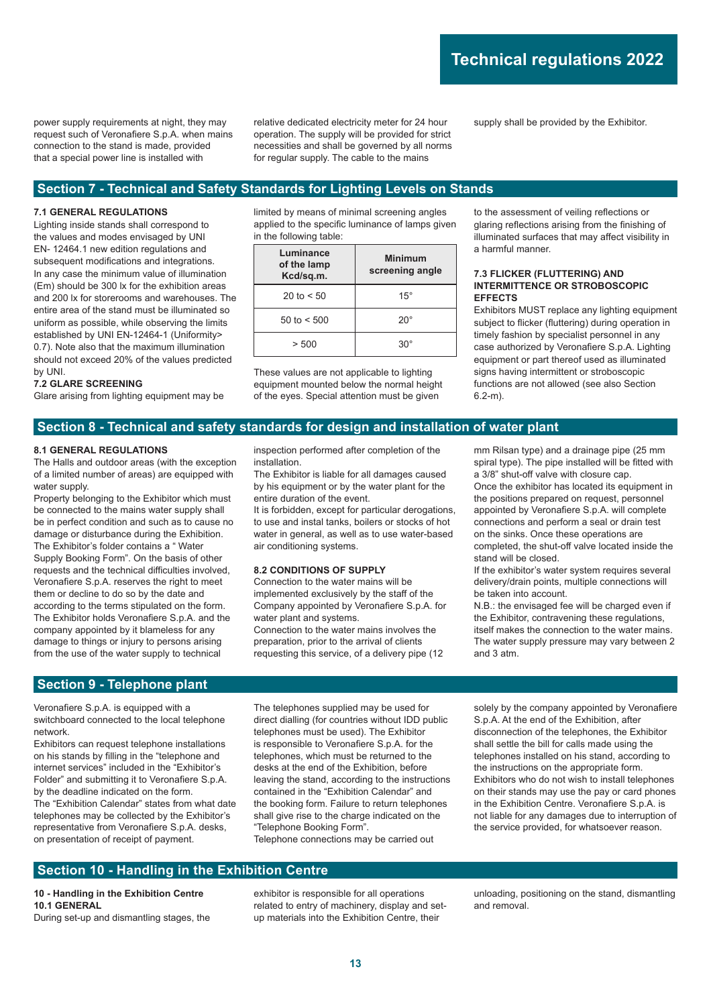power supply requirements at night, they may request such of Veronafiere S.p.A. when mains connection to the stand is made, provided that a special power line is installed with

relative dedicated electricity meter for 24 hour operation. The supply will be provided for strict necessities and shall be governed by all norms for regular supply. The cable to the mains

supply shall be provided by the Exhibitor.

## **Section 7 - Technical and Safety Standards for Lighting Levels on Stands**

#### **7.1 GENERAL REGULATIONS**

Lighting inside stands shall correspond to the values and modes envisaged by UNI EN- 12464.1 new edition regulations and subsequent modifications and integrations. In any case the minimum value of illumination (Em) should be 300 lx for the exhibition areas and 200 lx for storerooms and warehouses. The entire area of the stand must be illuminated so uniform as possible, while observing the limits established by UNI EN-12464-1 (Uniformity> 0.7). Note also that the maximum illumination should not exceed 20% of the values predicted by UNI.

#### **7.2 GLARE SCREENING**

Glare arising from lighting equipment may be

limited by means of minimal screening angles applied to the specific luminance of lamps given in the following table:

| Luminance<br>of the lamp<br>Kcd/sq.m. | Minimum<br>screening angle |  |  |  |  |
|---------------------------------------|----------------------------|--|--|--|--|
| 20 to $< 50$                          | $15^{\circ}$               |  |  |  |  |
| 50 to $< 500$                         | $20^{\circ}$               |  |  |  |  |
| > 500                                 | ۹U∘                        |  |  |  |  |

These values are not applicable to lighting equipment mounted below the normal height of the eyes. Special attention must be given

to the assessment of veiling reflections or glaring reflections arising from the finishing of illuminated surfaces that may affect visibility in a harmful manner.

#### **7.3 FLICKER (FLUTTERING) AND INTERMITTENCE OR STROBOSCOPIC EFFECTS**

Exhibitors MUST replace any lighting equipment subject to flicker (fluttering) during operation in timely fashion by specialist personnel in any case authorized by Veronafiere S.p.A. Lighting equipment or part thereof used as illuminated signs having intermittent or stroboscopic functions are not allowed (see also Section 6.2-m).

## **Section 8 - Technical and safety standards for design and installation of water plant**

#### **8.1 GENERAL REGULATIONS**

The Halls and outdoor areas (with the exception of a limited number of areas) are equipped with water supply.

Property belonging to the Exhibitor which must be connected to the mains water supply shall be in perfect condition and such as to cause no damage or disturbance during the Exhibition. The Exhibitor's folder contains a " Water Supply Booking Form". On the basis of other requests and the technical difficulties involved, Veronafiere S.p.A. reserves the right to meet them or decline to do so by the date and according to the terms stipulated on the form. The Exhibitor holds Veronafiere S.p.A. and the company appointed by it blameless for any damage to things or injury to persons arising from the use of the water supply to technical

inspection performed after completion of the installation.

The Exhibitor is liable for all damages caused by his equipment or by the water plant for the entire duration of the event.

It is forbidden, except for particular derogations, to use and instal tanks, boilers or stocks of hot water in general, as well as to use water-based air conditioning systems.

#### **8.2 CONDITIONS OF SUPPLY**

Connection to the water mains will be implemented exclusively by the staff of the Company appointed by Veronafiere S.p.A. for water plant and systems.

Connection to the water mains involves the preparation, prior to the arrival of clients requesting this service, of a delivery pipe (12 mm Rilsan type) and a drainage pipe (25 mm spiral type). The pipe installed will be fitted with a 3/8" shut-off valve with closure cap.

Once the exhibitor has located its equipment in the positions prepared on request, personnel appointed by Veronafiere S.p.A. will complete connections and perform a seal or drain test on the sinks. Once these operations are completed, the shut-off valve located inside the stand will be closed.

If the exhibitor's water system requires several delivery/drain points, multiple connections will be taken into account.

N.B.: the envisaged fee will be charged even if the Exhibitor, contravening these regulations, itself makes the connection to the water mains. The water supply pressure may vary between 2 and 3 atm.

### **Section 9 - Telephone plant**

Veronafiere S.p.A. is equipped with a switchboard connected to the local telephone network.

Exhibitors can request telephone installations on his stands by filling in the "telephone and internet services" included in the "Exhibitor's Folder" and submitting it to Veronafiere S.p.A. by the deadline indicated on the form. The "Exhibition Calendar" states from what date telephones may be collected by the Exhibitor's representative from Veronafiere S.p.A. desks, on presentation of receipt of payment.

The telephones supplied may be used for direct dialling (for countries without IDD public telephones must be used). The Exhibitor is responsible to Veronafiere S.p.A. for the telephones, which must be returned to the desks at the end of the Exhibition, before leaving the stand, according to the instructions contained in the "Exhibition Calendar" and the booking form. Failure to return telephones shall give rise to the charge indicated on the "Telephone Booking Form". Telephone connections may be carried out

solely by the company appointed by Veronafiere S.p.A. At the end of the Exhibition, after disconnection of the telephones, the Exhibitor shall settle the bill for calls made using the telephones installed on his stand, according to the instructions on the appropriate form. Exhibitors who do not wish to install telephones on their stands may use the pay or card phones in the Exhibition Centre. Veronafiere S.p.A. is not liable for any damages due to interruption of the service provided, for whatsoever reason.

### **Section 10 - Handling in the Exhibition Centre**

#### **10 - Handling in the Exhibition Centre 10.1 GENERAL**

During set-up and dismantling stages, the

exhibitor is responsible for all operations related to entry of machinery, display and setup materials into the Exhibition Centre, their

unloading, positioning on the stand, dismantling and removal.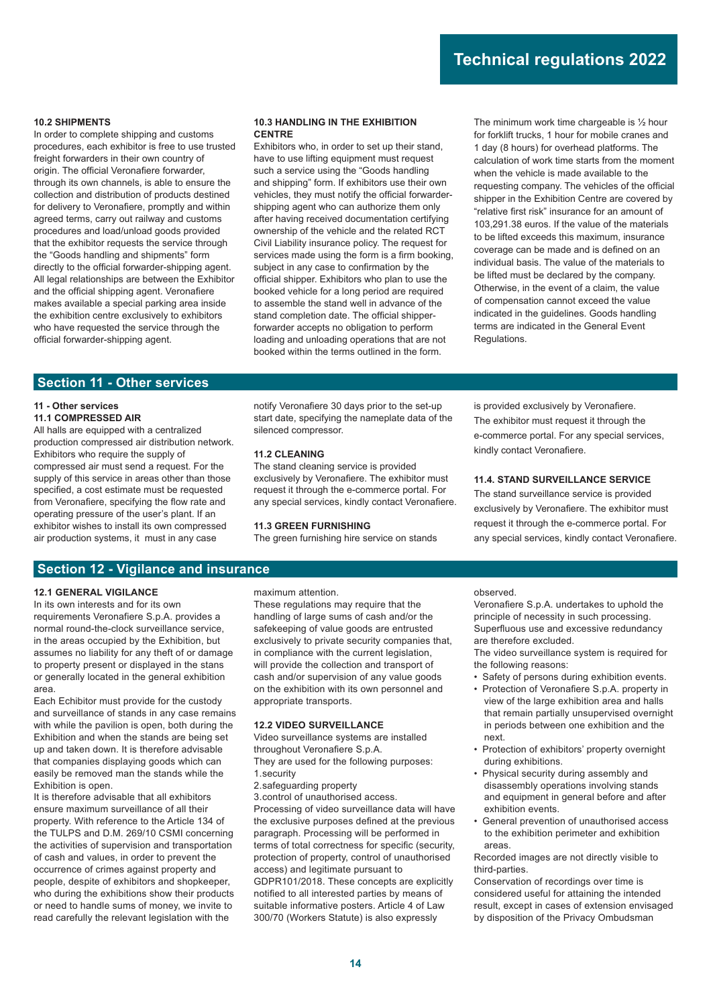#### **10.2 SHIPMENTS**

In order to complete shipping and customs procedures, each exhibitor is free to use trusted freight forwarders in their own country of origin. The official Veronafiere forwarder, through its own channels, is able to ensure the collection and distribution of products destined for delivery to Veronafiere, promptly and within agreed terms, carry out railway and customs procedures and load/unload goods provided that the exhibitor requests the service through the "Goods handling and shipments" form directly to the official forwarder-shipping agent. All legal relationships are between the Exhibitor and the official shipping agent. Veronafiere makes available a special parking area inside the exhibition centre exclusively to exhibitors who have requested the service through the official forwarder-shipping agent.

#### **10.3 HANDLING IN THE EXHIBITION CENTRE**

Exhibitors who, in order to set up their stand, have to use lifting equipment must request such a service using the "Goods handling and shipping" form. If exhibitors use their own vehicles, they must notify the official forwardershipping agent who can authorize them only after having received documentation certifying ownership of the vehicle and the related RCT Civil Liability insurance policy. The request for services made using the form is a firm booking, subject in any case to confirmation by the official shipper. Exhibitors who plan to use the booked vehicle for a long period are required to assemble the stand well in advance of the stand completion date. The official shipperforwarder accepts no obligation to perform loading and unloading operations that are not booked within the terms outlined in the form.

The minimum work time chargeable is ½ hour for forklift trucks, 1 hour for mobile cranes and 1 day (8 hours) for overhead platforms. The calculation of work time starts from the moment when the vehicle is made available to the requesting company. The vehicles of the official shipper in the Exhibition Centre are covered by "relative first risk" insurance for an amount of 103,291.38 euros. If the value of the materials to be lifted exceeds this maximum, insurance coverage can be made and is defined on an individual basis. The value of the materials to be lifted must be declared by the company. Otherwise, in the event of a claim, the value of compensation cannot exceed the value indicated in the guidelines. Goods handling terms are indicated in the General Event Regulations.

### **Section 11 - Other services**

#### **11 - Other services**

#### **11.1 COMPRESSED AIR**

All halls are equipped with a centralized production compressed air distribution network. Exhibitors who require the supply of compressed air must send a request. For the supply of this service in areas other than those specified, a cost estimate must be requested from Veronafiere, specifying the flow rate and operating pressure of the user's plant. If an exhibitor wishes to install its own compressed air production systems, it must in any case

notify Veronafiere 30 days prior to the set-up start date, specifying the nameplate data of the silenced compressor.

#### **11.2 CLEANING**

The stand cleaning service is provided exclusively by Veronafiere. The exhibitor must request it through the e-commerce portal. For any special services, kindly contact Veronafiere.

#### **11.3 GREEN FURNISHING**

The green furnishing hire service on stands

is provided exclusively by Veronafiere. The exhibitor must request it through the e-commerce portal. For any special services, kindly contact Veronafiere.

#### **11.4. STAND SURVEILLANCE SERVICE**

The stand surveillance service is provided exclusively by Veronafiere. The exhibitor must request it through the e-commerce portal. For any special services, kindly contact Veronafiere.

## **Section 12 - Vigilance and insurance**

#### **12.1 GENERAL VIGILANCE**

In its own interests and for its own requirements Veronafiere S.p.A. provides a normal round-the-clock surveillance service, in the areas occupied by the Exhibition, but assumes no liability for any theft of or damage to property present or displayed in the stans or generally located in the general exhibition area.

Each Echibitor must provide for the custody and surveillance of stands in any case remains with while the pavilion is open, both during the Exhibition and when the stands are being set up and taken down. It is therefore advisable that companies displaying goods which can easily be removed man the stands while the Exhibition is open.

It is therefore advisable that all exhibitors ensure maximum surveillance of all their property. With reference to the Article 134 of the TULPS and D.M. 269/10 CSMI concerning the activities of supervision and transportation of cash and values, in order to prevent the occurrence of crimes against property and people, despite of exhibitors and shopkeeper, who during the exhibitions show their products or need to handle sums of money, we invite to read carefully the relevant legislation with the

maximum attention.

These regulations may require that the handling of large sums of cash and/or the safekeeping of value goods are entrusted exclusively to private security companies that, in compliance with the current legislation, will provide the collection and transport of cash and/or supervision of any value goods on the exhibition with its own personnel and appropriate transports.

#### **12.2 VIDEO SURVEILLANCE**

Video surveillance systems are installed throughout Veronafiere S.p.A. They are used for the following purposes:

- 1. security
- 2. safeguarding property

3. control of unauthorised access. Processing of video surveillance data will have the exclusive purposes defined at the previous paragraph. Processing will be performed in terms of total correctness for specific (security, protection of property, control of unauthorised access) and legitimate pursuant to GDPR101/2018. These concepts are explicitly notified to all interested parties by means of suitable informative posters. Article 4 of Law 300/70 (Workers Statute) is also expressly

observed.

Veronafiere S.p.A. undertakes to uphold the principle of necessity in such processing. Superfluous use and excessive redundancy are therefore excluded.

The video surveillance system is required for the following reasons:

- Safety of persons during exhibition events.
- Protection of Veronafiere S.p.A. property in view of the large exhibition area and halls that remain partially unsupervised overnight in periods between one exhibition and the next.
- Protection of exhibitors' property overnight during exhibitions.
- Physical security during assembly and disassembly operations involving stands and equipment in general before and after exhibition events.
- General prevention of unauthorised access to the exhibition perimeter and exhibition areas.

Recorded images are not directly visible to third-parties.

Conservation of recordings over time is considered useful for attaining the intended result, except in cases of extension envisaged by disposition of the Privacy Ombudsman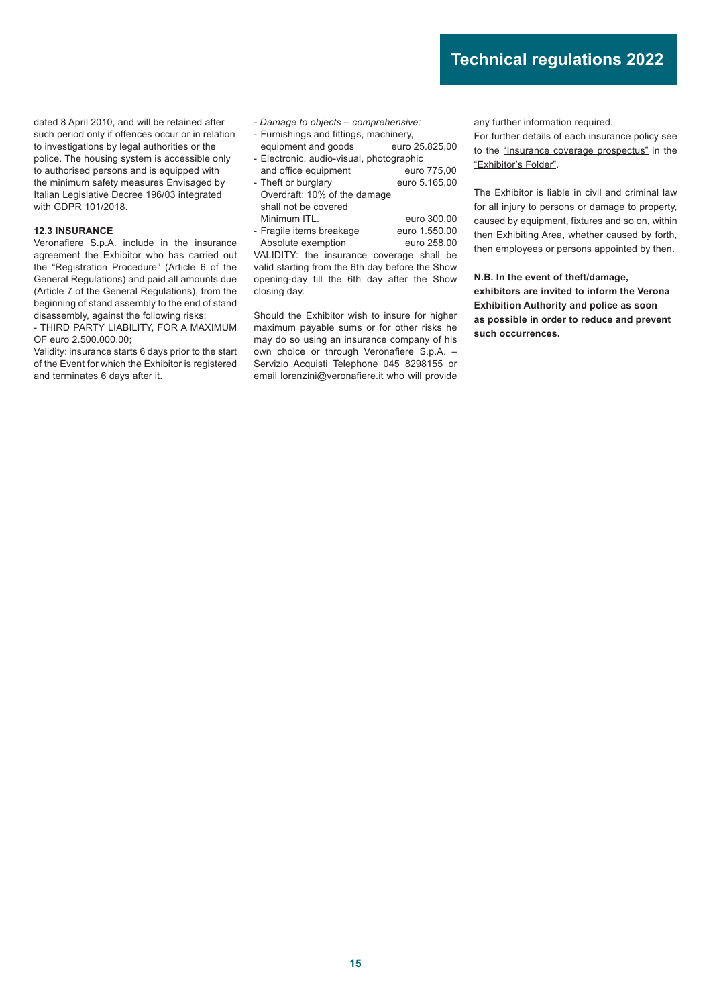dated 8 April 2010, and will be retained after such period only if offences occur or in relation to investigations by legal authorities or the police. The housing system is accessible only to authorised persons and is equipped with the minimum safety measures Envisaged by Italian Legislative Decree 196/03 integrated with GDPR 101/2018.

#### **12.3 INSURANCE**

Veronafiere S.p.A. include in the insurance agreement the Exhibitor who has carried out the "Registration Procedure" (Article 6 of the General Regulations) and paid all amounts due (Article 7 of the General Regulations), from the beginning of stand assembly to the end of stand disassembly, against the following risks:

- THIRD PARTY LIABILITY, FOR A MAXIMUM OF euro 2.500.000.00;

Validity: insurance starts 6 days prior to the start of the Event for which the Exhibitor is registered and terminates 6 days after it.

- *Damage to objects comprehensive:*
- Furnishings and fittings, machinery,
- equipment and goods euro 25.825,00 - Electronic, audio-visual, photographic
- and office equipment euro 775,00
- Theft or burglary euro 5.165,00 Overdraft: 10% of the damage shall not be covered Minimum ITL. euro 300.00
- Fragile items breakage euro 1.550,00<br>Absolute exemption euro 258.00 Absolute exemption

VALIDITY: the insurance coverage shall be valid starting from the 6th day before the Show opening-day till the 6th day after the Show closing day.

Should the Exhibitor wish to insure for higher maximum payable sums or for other risks he may do so using an insurance company of his own choice or through Veronafiere S.p.A. – Servizio Acquisti Telephone 045 8298155 or email lorenzini@veronafiere.it who will provide

any further information required.

For further details of each insurance policy see to the "Insurance coverage prospectus" in the "Exhibitor's Folder".

The Exhibitor is liable in civil and criminal law for all injury to persons or damage to property, caused by equipment, fixtures and so on, within then Exhibiting Area, whether caused by forth, then employees or persons appointed by then.

**N.B. In the event of theft/damage, exhibitors are invited to inform the Verona Exhibition Authority and police as soon as possible in order to reduce and prevent such occurrences.**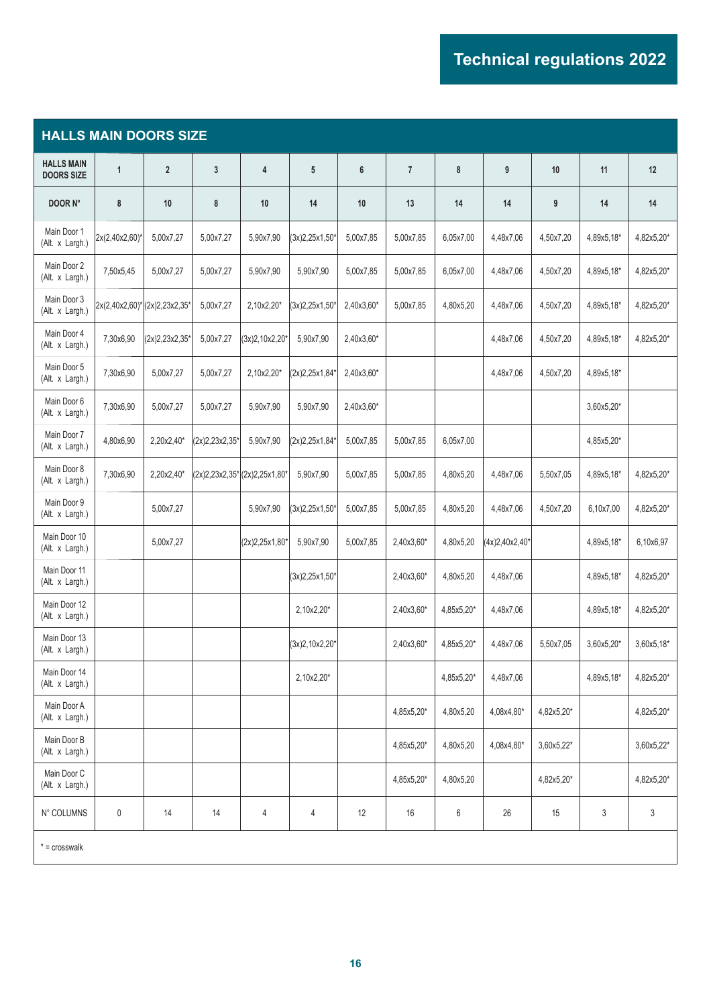| <b>HALLS MAIN DOORS SIZE</b>           |                              |                |                  |                                |                  |            |                |            |                  |            |            |            |
|----------------------------------------|------------------------------|----------------|------------------|--------------------------------|------------------|------------|----------------|------------|------------------|------------|------------|------------|
| <b>HALLS MAIN</b><br><b>DOORS SIZE</b> | 1                            | $\overline{2}$ | $\mathbf{3}$     | 4                              | 5                | 6          | $\overline{7}$ | 8          | 9                | 10         | 11         | 12         |
| DOOR N°                                | 8                            | 10             | 8                | 10                             | 14               | 10         | 13             | 14         | 14               | 9          | 14         | 14         |
| Main Door 1<br>(Alt. x Largh.)         | 2x(2,40x2,60)*               | 5,00x7,27      | 5,00x7,27        | 5,90x7,90                      | (3x)2,25x1,50    | 5,00x7,85  | 5,00x7,85      | 6,05x7,00  | 4,48x7,06        | 4,50x7,20  | 4,89x5,18* | 4,82x5,20* |
| Main Door 2<br>(Alt. x Largh.)         | 7,50x5,45                    | 5,00x7,27      | 5,00x7,27        | 5,90x7,90                      | 5,90x7,90        | 5,00x7,85  | 5,00x7,85      | 6,05x7,00  | 4,48x7,06        | 4,50x7,20  | 4,89x5,18* | 4,82x5,20* |
| Main Door 3<br>(Alt. x Largh.)         | 2x(2,40x2,60)*(2x)2,23x2,35* |                | 5,00x7,27        | 2,10x2,20*                     | $(3x)2,25x1,50*$ | 2,40x3,60* | 5,00x7,85      | 4,80x5,20  | 4,48x7,06        | 4,50x7,20  | 4,89x5,18* | 4,82x5,20* |
| Main Door 4<br>(Alt. x Largh.)         | 7,30x6,90                    | (2x)2,23x2,35' | 5,00x7,27        | $(3x)2,10x2,20*$               | 5,90x7,90        | 2,40x3,60* |                |            | 4,48x7,06        | 4,50x7,20  | 4,89x5,18* | 4,82x5,20* |
| Main Door 5<br>(Alt. x Largh.)         | 7,30x6,90                    | 5,00x7,27      | 5,00x7,27        | 2,10x2,20*                     | (2x)2,25x1,84*   | 2,40x3,60* |                |            | 4,48x7,06        | 4,50x7,20  | 4,89x5,18* |            |
| Main Door 6<br>(Alt. x Largh.)         | 7,30x6,90                    | 5,00x7,27      | 5,00x7,27        | 5,90x7,90                      | 5,90x7,90        | 2,40x3,60* |                |            |                  |            | 3,60x5,20* |            |
| Main Door 7<br>(Alt. x Largh.)         | 4,80x6,90                    | 2,20x2,40*     | $(2x)2,23x2,35*$ | 5,90x7,90                      | (2x)2,25x1,84*   | 5,00x7,85  | 5,00x7,85      | 6,05x7,00  |                  |            | 4,85x5,20* |            |
| Main Door 8<br>(Alt. x Largh.)         | 7,30x6,90                    | 2,20x2,40*     |                  | $(2x)2,23x2,35*[2x)2,25x1,80*$ | 5,90x7,90        | 5,00x7,85  | 5,00x7,85      | 4,80x5,20  | 4,48x7,06        | 5,50x7,05  | 4,89x5,18* | 4,82x5,20* |
| Main Door 9<br>(Alt. x Largh.)         |                              | 5,00x7,27      |                  | 5,90x7,90                      | (3x)2,25x1,50'   | 5,00x7,85  | 5,00x7,85      | 4,80x5,20  | 4,48x7,06        | 4,50x7,20  | 6,10x7,00  | 4,82x5,20* |
| Main Door 10<br>(Alt. x Largh.)        |                              | 5,00x7,27      |                  | $(2x)2,25x1,80*$               | 5,90x7,90        | 5,00x7,85  | 2,40x3,60*     | 4,80x5,20  | $(4x)2,40x2,40*$ |            | 4,89x5,18* | 6,10x6,97  |
| Main Door 11<br>(Alt. x Largh.)        |                              |                |                  |                                | $(3x)2,25x1,50*$ |            | 2,40x3,60*     | 4,80x5,20  | 4,48x7,06        |            | 4,89x5,18* | 4,82x5,20* |
| Main Door 12<br>(Alt. x Largh.)        |                              |                |                  |                                | 2,10x2,20*       |            | 2,40x3,60*     | 4,85x5,20* | 4,48x7,06        |            | 4,89x5,18* | 4,82x5,20* |
| Main Door 13<br>(Alt. x Largh.)        |                              |                |                  |                                | $(3x)2,10x2,20*$ |            | 2,40x3,60*     | 4,85x5,20* | 4,48x7,06        | 5,50x7,05  | 3,60x5,20* | 3,60x5,18* |
| Main Door 14<br>(Alt. x Largh.)        |                              |                |                  |                                | 2,10x2,20*       |            |                | 4,85x5,20* | 4,48x7,06        |            | 4,89x5,18* | 4,82x5,20* |
| Main Door A<br>(Alt. x Largh.)         |                              |                |                  |                                |                  |            | 4,85x5,20*     | 4,80x5,20  | 4,08x4,80*       | 4,82x5,20* |            | 4,82x5,20* |
| Main Door B<br>(Alt. x Largh.)         |                              |                |                  |                                |                  |            | 4,85x5,20*     | 4,80x5,20  | 4,08x4,80*       | 3,60x5,22* |            | 3,60x5,22* |
| Main Door C<br>(Alt. x Largh.)         |                              |                |                  |                                |                  |            | 4,85x5,20*     | 4,80x5,20  |                  | 4,82x5,20* |            | 4,82x5,20* |
| N° COLUMNS                             | $\pmb{0}$                    | 14             | 14               | 4                              | 4                | 12         | 16             | 6          | 26               | 15         | 3          | 3          |
| $* = \text{crosswalk}$                 |                              |                |                  |                                |                  |            |                |            |                  |            |            |            |